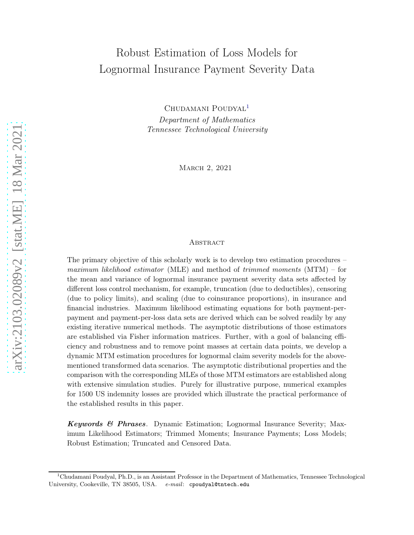# Robust Estimation of Loss Models for Lognormal Insurance Payment Severity Data

CHUDAMANI POUDYAL<sup>[1](#page-0-0)</sup>

Department of Mathematics Tennessee Technological University

March 2, 2021

#### **ABSTRACT**

The primary objective of this scholarly work is to develop two estimation procedures – *maximum likelihood estimator* (MLE) and method of *trimmed moments* (MTM) – for the mean and variance of lognormal insurance payment severity data sets affected by different loss control mechanism, for example, truncation (due to deductibles), censoring (due to policy limits), and scaling (due to coinsurance proportions), in insurance and financial industries. Maximum likelihood estimating equations for both payment-perpayment and payment-per-loss data sets are derived which can be solved readily by any existing iterative numerical methods. The asymptotic distributions of those estimators are established via Fisher information matrices. Further, with a goal of balancing efficiency and robustness and to remove point masses at certain data points, we develop a dynamic MTM estimation procedures for lognormal claim severity models for the abovementioned transformed data scenarios. The asymptotic distributional properties and the comparison with the corresponding MLEs of those MTM estimators are established along with extensive simulation studies. Purely for illustrative purpose, numerical examples for 1500 US indemnity losses are provided which illustrate the practical performance of the established results in this paper.

Keywords & Phrases. Dynamic Estimation; Lognormal Insurance Severity; Maximum Likelihood Estimators; Trimmed Moments; Insurance Payments; Loss Models; Robust Estimation; Truncated and Censored Data.

<span id="page-0-0"></span><sup>&</sup>lt;sup>1</sup>Chudamani Poudyal, Ph.D., is an Assistant Professor in the Department of Mathematics, Tennessee Technological University, Cookeville, TN 38505, USA. e-mail: cpoudyal@tntech.edu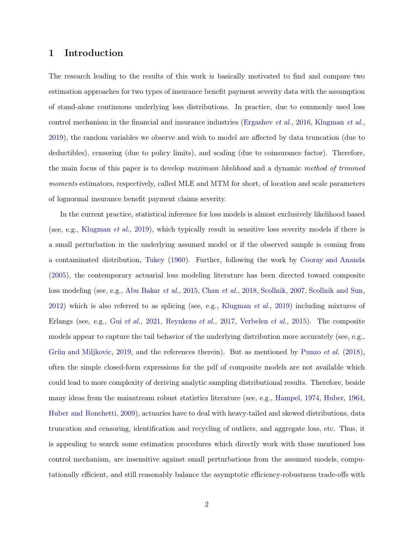### <span id="page-1-0"></span>1 Introduction

The research leading to the results of this work is basically motivated to find and compare two estimation approaches for two types of insurance benefit payment severity data with the assumption of stand-alone continuous underlying loss distributions. In practice, due to commonly used loss control mechanism in the financial and insurance industries [\(Ergashev](#page-29-0) *et al.*, [2016](#page-29-0), [Klugman](#page-30-0) *et al.*, [2019\)](#page-30-0), the random variables we observe and wish to model are affected by data truncation (due to deductibles), censoring (due to policy limits), and scaling (due to coinsurance factor). Therefore, the main focus of this paper is to develop *maximum likelihood* and a dynamic *method of trimmed moments* estimators, respectively, called MLE and MTM for short, of location and scale parameters of lognormal insurance benefit payment claims severity.

In the current practice, statistical inference for loss models is almost exclusively likelihood based (see, e.g., [Klugman](#page-30-0) *et al.*, [2019](#page-30-0)), which typically result in sensitive loss severity models if there is a small perturbation in the underlying assumed model or if the observed sample is coming from a contaminated distribution, [Tukey](#page-30-1) [\(1960](#page-30-1)). Further, following the work by [Cooray and Ananda](#page-29-1) [\(2005\)](#page-29-1), the contemporary actuarial loss modeling literature has been directed toward composite loss modeling (see, e.g., [Abu Bakar](#page-29-2) *et al.*, [2015,](#page-29-2) [Chan](#page-29-3) *et al.*, [2018,](#page-29-3) [Scollnik](#page-30-2), [2007,](#page-30-2) [Scollnik and Sun](#page-30-3), [2012\)](#page-30-3) which is also referred to as splicing (see, e.g., [Klugman](#page-30-0) *et al.*, [2019\)](#page-30-0) including mixtures of Erlangs (see, e.g., Gui *[et al.](#page-29-4)*, [2021](#page-29-4), [Reynkens](#page-30-4) *et al.*, [2017](#page-30-4), [Verbelen](#page-30-5) *et al.*, [2015\)](#page-30-5). The composite models appear to capture the tail behavior of the underlying distribution more accurately (see, e.g., [Grün and Miljkovic,](#page-29-5) [2019,](#page-29-5) and the references therein). But as mentioned by [Punzo](#page-30-6) *et al.* [\(2018\)](#page-30-6), often the simple closed-form expressions for the pdf of composite models are not available which could lead to more complexity of deriving analytic sampling distributional results. Therefore, beside many ideas from the mainstream robust statistics literature (see, e.g., [Hampel](#page-29-6), [1974](#page-29-6), [Huber,](#page-30-7) [1964](#page-30-7), [Huber and Ronchetti](#page-30-8), [2009\)](#page-30-8), actuaries have to deal with heavy-tailed and skewed distributions, data truncation and censoring, identification and recycling of outliers, and aggregate loss, etc. Thus, it is appealing to search some estimation procedures which directly work with those mentioned loss control mechanism, are insensitive against small perturbations from the assumed models, computationally efficient, and still reasonably balance the asymptotic efficiency-robustness trade-offs with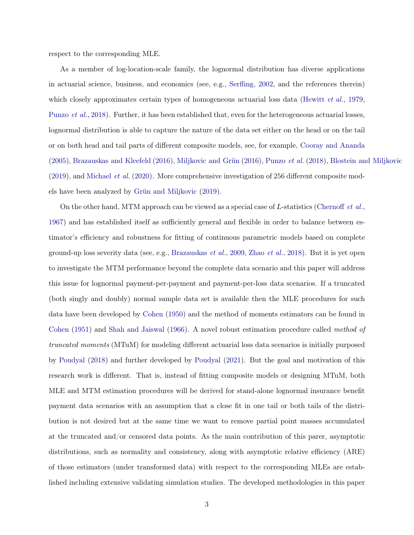respect to the corresponding MLE.

As a member of log-location-scale family, the lognormal distribution has diverse applications in actuarial science, business, and economics (see, e.g., [Serfling](#page-30-9), [2002](#page-30-9), and the references therein) which closely approximates certain types of homogeneous actuarial loss data [\(Hewitt](#page-29-7) *et al.*, [1979](#page-29-7), [Punzo](#page-30-6) *et al.*, [2018](#page-30-6)). Further, it has been established that, even for the heterogeneous actuarial losses, lognormal distribution is able to capture the nature of the data set either on the head or on the tail or on both head and tail parts of different composite models, see, for example, [Cooray and Ananda](#page-29-1) [\(2005\)](#page-29-1), [Brazauskas and Kleefeld](#page-29-8) [\(2016\)](#page-29-8), [Miljkovic and Grün](#page-30-10) [\(2016\)](#page-30-10), [Punzo](#page-30-6) *et al.* [\(2018](#page-30-6)), [Blostein and Miljkovic](#page-29-9) [\(2019\)](#page-29-9), and [Michael](#page-30-11) *et al.* [\(2020\)](#page-30-11). More comprehensive investigation of 256 different composite models have been analyzed by [Grün and Miljkovic](#page-29-5) [\(2019\)](#page-29-5).

On the other hand, MTM approach can be viewed as a special case of L-statistics [\(Chernoff](#page-29-10) *et al.*, [1967\)](#page-29-10) and has established itself as sufficiently general and flexible in order to balance between estimator's efficiency and robustness for fitting of continuous parametric models based on complete ground-up loss severity data (see, e.g., [Brazauskas](#page-29-11) *et al.*, [2009,](#page-29-11) Zhao *[et al.](#page-30-12)*, [2018\)](#page-30-12). But it is yet open to investigate the MTM performance beyond the complete data scenario and this paper will address this issue for lognormal payment-per-payment and payment-per-loss data scenarios. If a truncated (both singly and doubly) normal sample data set is available then the MLE procedures for such data have been developed by [Cohen](#page-29-12) [\(1950](#page-29-12)) and the method of moments estimators can be found in [Cohen](#page-29-13) [\(1951\)](#page-29-13) and [Shah and Jaiswal](#page-30-13) [\(1966](#page-30-13)). A novel robust estimation procedure called *method of truncated moments* (MTuM) for modeling different actuarial loss data scenarios is initially purposed by [Poudyal](#page-30-14) [\(2018\)](#page-30-14) and further developed by [Poudyal](#page-30-15) [\(2021](#page-30-15)). But the goal and motivation of this research work is different. That is, instead of fitting composite models or designing MTuM, both MLE and MTM estimation procedures will be derived for stand-alone lognormal insurance benefit payment data scenarios with an assumption that a close fit in one tail or both tails of the distribution is not desired but at the same time we want to remove partial point masses accumulated at the truncated and/or censored data points. As the main contribution of this parer, asymptotic distributions, such as normality and consistency, along with asymptotic relative efficiency (ARE) of those estimators (under transformed data) with respect to the corresponding MLEs are established including extensive validating simulation studies. The developed methodologies in this paper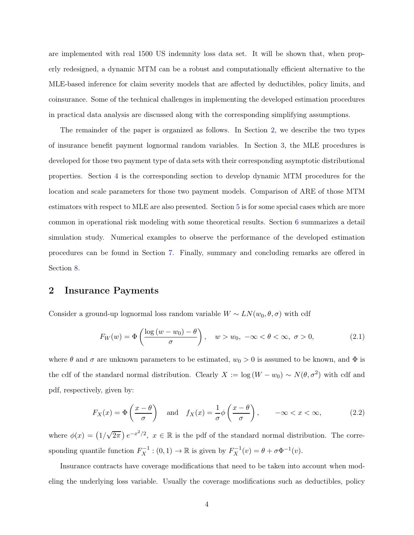are implemented with real 1500 US indemnity loss data set. It will be shown that, when properly redesigned, a dynamic MTM can be a robust and computationally efficient alternative to the MLE-based inference for claim severity models that are affected by deductibles, policy limits, and coinsurance. Some of the technical challenges in implementing the developed estimation procedures in practical data analysis are discussed along with the corresponding simplifying assumptions.

The remainder of the paper is organized as follows. In Section [2,](#page-3-0) we describe the two types of insurance benefit payment lognormal random variables. In Section [3,](#page-6-0) the MLE procedures is developed for those two payment type of data sets with their corresponding asymptotic distributional properties. Section [4](#page-10-0) is the corresponding section to develop dynamic MTM procedures for the location and scale parameters for those two payment models. Comparison of ARE of those MTM estimators with respect to MLE are also presented. Section [5](#page-17-0) is for some special cases which are more common in operational risk modeling with some theoretical results. Section [6](#page-19-0) summarizes a detail simulation study. Numerical examples to observe the performance of the developed estimation procedures can be found in Section [7.](#page-21-0) Finally, summary and concluding remarks are offered in Section [8.](#page-27-0)

### <span id="page-3-0"></span>2 Insurance Payments

Consider a ground-up lognormal loss random variable  $W \sim LN(w_0, \theta, \sigma)$  with cdf

<span id="page-3-1"></span>
$$
F_W(w) = \Phi\left(\frac{\log(w - w_0) - \theta}{\sigma}\right), \quad w > w_0, \ -\infty < \theta < \infty, \ \sigma > 0,\tag{2.1}
$$

where  $\theta$  and  $\sigma$  are unknown parameters to be estimated,  $w_0 > 0$  is assumed to be known, and  $\Phi$  is the cdf of the standard normal distribution. Clearly  $X := \log(W - w_0) \sim N(\theta, \sigma^2)$  with cdf and pdf, respectively, given by:

$$
F_X(x) = \Phi\left(\frac{x-\theta}{\sigma}\right) \quad \text{and} \quad f_X(x) = \frac{1}{\sigma}\phi\left(\frac{x-\theta}{\sigma}\right), \qquad -\infty < x < \infty,\tag{2.2}
$$

where  $\phi(x) = (1/\sqrt{2\pi}) e^{-x^2/2}$ ,  $x \in \mathbb{R}$  is the pdf of the standard normal distribution. The corresponding quantile function  $F_X^{-1} : (0,1) \to \mathbb{R}$  is given by  $F_X^{-1}(v) = \theta + \sigma \Phi^{-1}(v)$ .

Insurance contracts have coverage modifications that need to be taken into account when modeling the underlying loss variable. Usually the coverage modifications such as deductibles, policy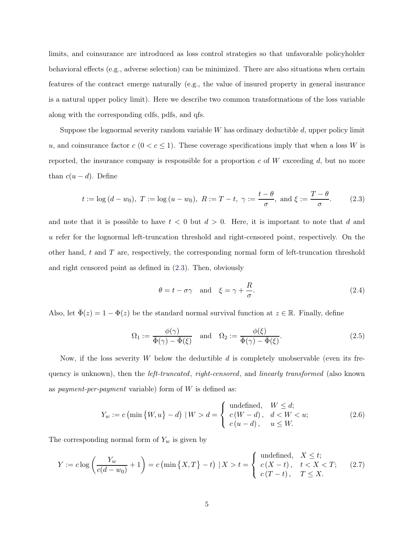limits, and coinsurance are introduced as loss control strategies so that unfavorable policyholder behavioral effects (e.g., adverse selection) can be minimized. There are also situations when certain features of the contract emerge naturally (e.g., the value of insured property in general insurance is a natural upper policy limit). Here we describe two common transformations of the loss variable along with the corresponding cdfs, pdfs, and qfs.

Suppose the lognormal severity random variable  $W$  has ordinary deductible  $d$ , upper policy limit u, and coinsurance factor  $c$  ( $0 < c \le 1$ ). These coverage specifications imply that when a loss W is reported, the insurance company is responsible for a proportion  $c$  of  $W$  exceeding  $d$ , but no more than  $c(u - d)$ . Define

<span id="page-4-0"></span>
$$
t := \log (d - w_0), \ T := \log (u - w_0), \ R := T - t, \ \gamma := \frac{t - \theta}{\sigma}, \text{ and } \xi := \frac{T - \theta}{\sigma}.
$$
 (2.3)

and note that it is possible to have  $t < 0$  but  $d > 0$ . Here, it is important to note that d and u refer for the lognormal left-truncation threshold and right-censored point, respectively. On the other hand,  $t$  and  $T$  are, respectively, the corresponding normal form of left-truncation threshold and right censored point as defined in [\(2.3\)](#page-4-0). Then, obviously

<span id="page-4-3"></span><span id="page-4-1"></span>
$$
\theta = t - \sigma \gamma \quad \text{and} \quad \xi = \gamma + \frac{R}{\sigma}.\tag{2.4}
$$

Also, let  $\bar{\Phi}(z) = 1 - \Phi(z)$  be the standard normal survival function at  $z \in \mathbb{R}$ . Finally, define

$$
\Omega_1 := \frac{\phi(\gamma)}{\overline{\Phi}(\gamma) - \overline{\Phi}(\xi)} \quad \text{and} \quad \Omega_2 := \frac{\phi(\xi)}{\overline{\Phi}(\gamma) - \overline{\Phi}(\xi)}.
$$
\n(2.5)

Now, if the loss severity W below the deductible  $d$  is completely unobservable (even its frequency is unknown), then the *left-truncated*, *right-censored*, and *linearly transformed* (also known as *payment-per-payment* variable) form of W is defined as:

<span id="page-4-4"></span>
$$
Y_w := c \left( \min \{ W, u \} - d \right) \mid W > d = \begin{cases} \text{undefined,} & W \le d; \\ c \left( W - d \right), & d < W < u; \\ c \left( u - d \right), & u \le W. \end{cases} \tag{2.6}
$$

The corresponding normal form of  $Y_w$  is given by

<span id="page-4-2"></span>
$$
Y := c \log \left( \frac{Y_w}{c(d - w_0)} + 1 \right) = c \left( \min \{ X, T \} - t \right) \mid X > t = \begin{cases} \text{undefined,} & X \le t; \\ c \left( X - t \right), & t < X < T; \\ c \left( T - t \right), & T \le X. \end{cases} \tag{2.7}
$$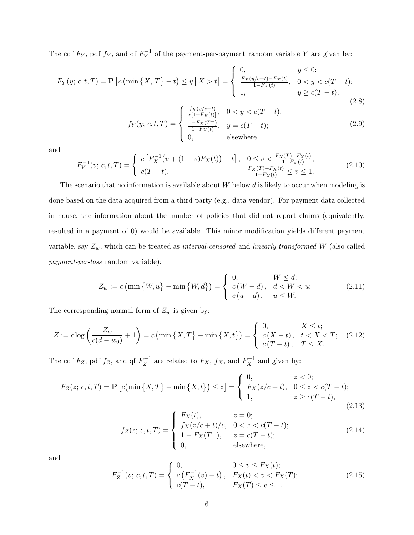The cdf  $F_Y$ , pdf  $f_Y$ , and qf  $F_Y^{-1}$  $Y^{\text{-}1}_{Y}$  of the payment-per-payment random variable Y are given by:

<span id="page-5-4"></span>
$$
F_Y(y; c, t, T) = \mathbf{P} \left[ c \left( \min \left\{ X, T \right\} - t \right) \le y \, \middle| \, X > t \right] = \begin{cases} 0, & y \le 0; \\ \frac{F_X(y/c + t) - F_X(t)}{1 - F_X(t)}, & 0 < y < c(T - t); \\ 1, & y \ge c(T - t), \end{cases} \tag{2.8}
$$

<span id="page-5-1"></span>
$$
f_Y(y; c, t, T) = \begin{cases} \frac{f_X(y/c+t)}{c[1-F_X(t)]}, & 0 < y < c(T-t);\\ \frac{1-F_X(T^-)}{1-F_X(t)}, & y = c(T-t);\\ 0, & \text{elsewhere,} \end{cases}
$$
(2.9)

and

<span id="page-5-6"></span>
$$
F_Y^{-1}(v; c, t, T) = \begin{cases} c \left[ F_X^{-1}(v + (1 - v)F_X(t)) - t \right], & 0 \le v < \frac{F_X(T) - F_X(t)}{1 - F_X(t)}; \\ c(T - t), & \frac{F_X(T) - F_X(t)}{1 - F_X(t)} \le v \le 1. \end{cases}
$$
(2.10)

The scenario that no information is available about  $W$  below  $d$  is likely to occur when modeling is done based on the data acquired from a third party (e.g., data vendor). For payment data collected in house, the information about the number of policies that did not report claims (equivalently, resulted in a payment of 0) would be available. This minor modification yields different payment variable, say  $Z_w$ , which can be treated as *interval-censored* and *linearly transformed* W (also called *payment-per-loss* random variable):

<span id="page-5-3"></span>
$$
Z_w := c \left( \min \left\{ W, u \right\} - \min \left\{ W, d \right\} \right) = \begin{cases} 0, & W \le d; \\ c \left( W - d \right), & d < W < u; \\ c \left( u - d \right), & u \le W. \end{cases} \tag{2.11}
$$

The corresponding normal form of  $Z_w$  is given by:

<span id="page-5-0"></span>
$$
Z := c \log \left( \frac{Z_w}{c(d - w_0)} + 1 \right) = c \left( \min \{ X, T \} - \min \{ X, t \} \right) = \begin{cases} 0, & X \le t; \\ c \left( X - t \right), & t < X < T; \\ c \left( T - t \right), & T \le X. \end{cases} \tag{2.12}
$$

The cdf  $F_Z$ , pdf  $f_Z$ , and qf  $F_Z^{-1}$  $Z_Z^{-1}$  are related to  $F_X$ ,  $f_X$ , and  $F_X^{-1}$  $X^{\text{-1}}$  and given by:

<span id="page-5-5"></span>
$$
F_Z(z; c, t, T) = \mathbf{P} \left[ c(\min \{X, T\} - \min \{X, t\}) \le z \right] = \begin{cases} 0, & z < 0; \\ F_X(z/c + t), & 0 \le z < c(T - t); \\ 1, & z \ge c(T - t), \end{cases} \tag{2.13}
$$

<span id="page-5-2"></span>
$$
f_Z(z; c, t, T) = \begin{cases} F_X(t), & z = 0; \\ f_X(z/c + t)/c, & 0 < z < c(T - t); \\ 1 - F_X(T^-), & z = c(T - t); \\ 0, & \text{elsewhere,} \end{cases}
$$
(2.14)

and

<span id="page-5-7"></span>
$$
F_Z^{-1}(v; c, t, T) = \begin{cases} 0, & 0 \le v \le F_X(t); \\ c(F_X^{-1}(v) - t), & F_X(t) < v < F_X(T); \\ c(T - t), & F_X(T) \le v \le 1. \end{cases}
$$
(2.15)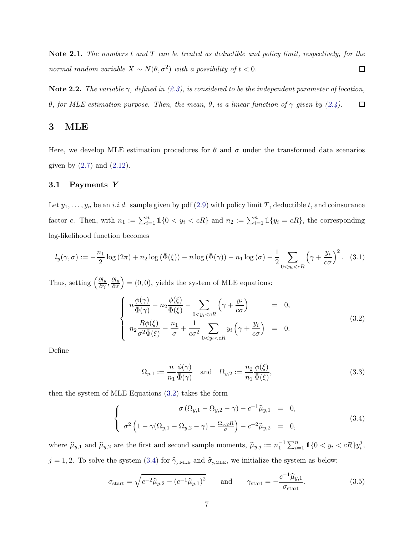Note 2.1. *The numbers* t *and* T *can be treated as deductible and policy limit, respectively, for the normal random variable*  $X \sim N(\theta, \sigma^2)$  *with a possibility of*  $t < 0$ *.*  $\Box$ 

Note 2.2. *The variable* γ*, defined in [\(2.3\)](#page-4-0), is considered to be the independent parameter of location,* θ*, for MLE estimation purpose. Then, the mean,* θ*, is a linear function of* γ *given by [\(2.4\)](#page-4-1).*  $\Box$ 

### <span id="page-6-0"></span>3 MLE

Here, we develop MLE estimation procedures for  $\theta$  and  $\sigma$  under the transformed data scenarios given by  $(2.7)$  and  $(2.12)$ .

#### 3.1 Payments Y

Let  $y_1, \ldots, y_n$  be an *i.i.d.* sample given by pdf [\(2.9\)](#page-5-1) with policy limit T, deductible t, and coinsurance factor c. Then, with  $n_1 := \sum_{i=1}^n \mathbb{1}\{0 < y_i < cR\}$  and  $n_2 := \sum_{i=1}^n \mathbb{1}\{y_i = cR\}$ , the corresponding log-likelihood function becomes

$$
l_y(\gamma, \sigma) := -\frac{n_1}{2} \log (2\pi) + n_2 \log (\bar{\Phi}(\xi)) - n \log (\bar{\Phi}(\gamma)) - n_1 \log (\sigma) - \frac{1}{2} \sum_{0 < y_i < cR} \left(\gamma + \frac{y_i}{c\sigma}\right)^2. \tag{3.1}
$$

Thus, setting  $\left(\frac{\partial l_y}{\partial \gamma}, \frac{\partial l_y}{\partial \sigma}\right) = (0,0)$ , yields the system of MLE equations:

<span id="page-6-3"></span>
$$
\begin{cases}\n n\frac{\phi(\gamma)}{\bar{\Phi}(\gamma)} - n_2 \frac{\phi(\xi)}{\bar{\Phi}(\xi)} - \sum_{0 < y_i < cR} \left(\gamma + \frac{y_i}{c\sigma}\right) &= 0, \\
 n_2 \frac{R\phi(\xi)}{\sigma^2 \bar{\Phi}(\xi)} - \frac{n_1}{\sigma} + \frac{1}{c\sigma^2} \sum_{0 < y_i < cR} y_i \left(\gamma + \frac{y_i}{c\sigma}\right) &= 0.\n\end{cases} \tag{3.2}
$$

Define

<span id="page-6-2"></span><span id="page-6-1"></span>
$$
\Omega_{y,1} := \frac{n}{n_1} \frac{\phi(\gamma)}{\bar{\Phi}(\gamma)} \quad \text{and} \quad \Omega_{y,2} := \frac{n_2}{n_1} \frac{\phi(\xi)}{\bar{\Phi}(\xi)},\tag{3.3}
$$

then the system of MLE Equations [\(3.2\)](#page-6-1) takes the form

$$
\begin{cases}\n\sigma\left(\Omega_{y,1} - \Omega_{y,2} - \gamma\right) - c^{-1}\widehat{\mu}_{y,1} = 0, \\
\sigma^2\left(1 - \gamma(\Omega_{y,1} - \Omega_{y,2} - \gamma) - \frac{\Omega_{y,2}R}{\sigma}\right) - c^{-2}\widehat{\mu}_{y,2} = 0,\n\end{cases}
$$
\n(3.4)

where  $\hat{\mu}_{y,1}$  and  $\hat{\mu}_{y,2}$  are the first and second sample moments,  $\hat{\mu}_{y,j} := n_1^{-1} \sum_{i=1}^n \mathbb{1}\{0 < y_i < cR\} y_i^j$  $\frac{j}{i}$ ,  $j = 1, 2$ . To solve the system [\(3.4\)](#page-6-2) for  $\hat{\gamma}_{y,MLE}$  and  $\hat{\sigma}_{y,MLE}$ , we initialize the system as below:

$$
\sigma_{\text{start}} = \sqrt{c^{-2}\hat{\mu}_{y,2} - (c^{-1}\hat{\mu}_{y,1})^2} \quad \text{and} \quad \gamma_{\text{start}} = -\frac{c^{-1}\hat{\mu}_{y,1}}{\sigma_{\text{start}}}.
$$
\n(3.5)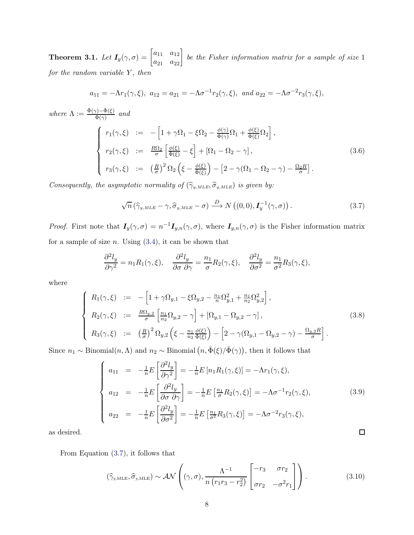<span id="page-7-1"></span>**Theorem 3.1.** Let  $I_y(\gamma, \sigma) = \begin{bmatrix} a_{11} & a_{12} \ a_{21} & a_{22} \end{bmatrix}$  be the Fisher information matrix for a sample of size 1 *for the random variable Y, then* 

$$
a_{11} = -\Lambda r_1(\gamma, \xi), \ a_{12} = a_{21} = -\Lambda \sigma^{-1} r_2(\gamma, \xi), \ and \ a_{22} = -\Lambda \sigma^{-2} r_3(\gamma, \xi),
$$

 $where \Lambda := \frac{\bar{\Phi}(\gamma) - \bar{\Phi}(\xi)}{\bar{\Phi}(\gamma)}$  and

$$
\begin{cases}\nr_1(\gamma,\xi) := -\left[1+\gamma\Omega_1 - \xi\Omega_2 - \frac{\phi(\gamma)}{\Phi(\gamma)}\Omega_1 + \frac{\phi(\xi)}{\Phi(\xi)}\Omega_2\right], \\
r_2(\gamma,\xi) := \frac{R\Omega_2}{\sigma} \left[\frac{\phi(\xi)}{\Phi(\xi)} - \xi\right] + \left[\Omega_1 - \Omega_2 - \gamma\right], \\
r_3(\gamma,\xi) := \left(\frac{R}{\sigma}\right)^2 \Omega_2 \left(\xi - \frac{\phi(\xi)}{\Phi(\xi)}\right) - \left[2 - \gamma(\Omega_1 - \Omega_2 - \gamma) - \frac{\Omega_2 R}{\sigma}\right].\n\end{cases} (3.6)
$$

*Consequently, the asymptotic normality of*  $(\hat{\gamma}_{y,MLE}, \hat{\sigma}_{y,MLE})$  *is given by:* 

<span id="page-7-0"></span>
$$
\sqrt{n} \left( \widehat{\gamma}_{y,MLE} - \gamma, \widehat{\sigma}_{y,MLE} - \sigma \right) \stackrel{D}{\longrightarrow} N \left( (0,0), I_y^{-1}(\gamma, \sigma) \right). \tag{3.7}
$$

*Proof.* First note that  $I_y(\gamma, \sigma) = n^{-1}I_{y,n}(\gamma, \sigma)$ , where  $I_{y,n}(\gamma, \sigma)$  is the Fisher information matrix for a sample of size  $n$ . Using  $(3.4)$ , it can be shown that

$$
\frac{\partial^2 l_y}{\partial \gamma^2} = n_1 R_1(\gamma, \xi), \quad \frac{\partial^2 l_y}{\partial \sigma \partial \gamma} = \frac{n_1}{\sigma} R_2(\gamma, \xi), \quad \frac{\partial^2 l_y}{\partial \sigma^2} = \frac{n_1}{\sigma^2} R_3(\gamma, \xi),
$$

where

$$
\begin{cases}\nR_1(\gamma,\xi) := -\left[1 + \gamma \Omega_{y,1} - \xi \Omega_{y,2} - \frac{n_1}{n} \Omega_{y,1}^2 + \frac{n_1}{n_2} \Omega_{y,2}^2\right], \\
R_2(\gamma,\xi) := \frac{R\Omega_{y,2}}{\sigma} \left[\frac{n_1}{n_2} \Omega_{y,2} - \gamma\right] + \left[\Omega_{y,1} - \Omega_{y,2} - \gamma\right], \\
R_3(\gamma,\xi) := \left(\frac{R}{\sigma}\right)^2 \Omega_{y,2} \left(\xi - \frac{n_1}{n_2} \frac{\phi(\xi)}{\Phi(\xi)}\right) - \left[2 - \gamma (\Omega_{y,1} - \Omega_{y,2} - \gamma) - \frac{\Omega_{y,2}R}{\sigma}\right].\n\end{cases}
$$
\n(3.8)

Since  $n_1 \sim \text{Binomial}(n, \Lambda)$  and  $n_2 \sim \text{Binomial}(n, \bar{\Phi}(\xi)/\bar{\Phi}(\gamma))$ , then it follows that

$$
\begin{cases}\na_{11} = -\frac{1}{n}E\left[\frac{\partial^2 l_y}{\partial \gamma^2}\right] = -\frac{1}{n}E\left[n_1 R_1(\gamma, \xi)\right] = -\Lambda r_1(\gamma, \xi), \\
a_{12} = -\frac{1}{n}E\left[\frac{\partial^2 l_y}{\partial \sigma \partial \gamma}\right] = -\frac{1}{n}E\left[\frac{n_1}{\sigma}R_2(\gamma, \xi)\right] = -\Lambda \sigma^{-1} r_2(\gamma, \xi), \\
a_{22} = -\frac{1}{n}E\left[\frac{\partial^2 l_y}{\partial \sigma^2}\right] = -\frac{1}{n}E\left[\frac{n_1}{\sigma^2}R_3(\gamma, \xi)\right] = -\Lambda \sigma^{-2} r_3(\gamma, \xi),\n\end{cases} (3.9)
$$

as desired.

From Equation [\(3.7\)](#page-7-0), it follows that

<span id="page-7-2"></span>
$$
\left(\widehat{\gamma}_{y,\text{MLE}},\widehat{\sigma}_{y,\text{MLE}}\right) \sim \mathcal{AN}\left((\gamma,\sigma),\frac{\Lambda^{-1}}{n\left(r_1r_3-r_2^2\right)}\begin{bmatrix}-r_3 & \sigma r_2\\ \sigma r_2 & -\sigma^2 r_1\end{bmatrix}\right).
$$
\n(3.10)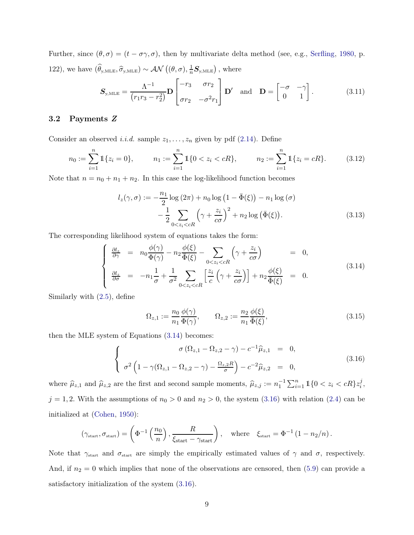Further, since  $(\theta, \sigma) = (t - \sigma \gamma, \sigma)$ , then by multivariate delta method (see, e.g., [Serfling](#page-30-16), [1980,](#page-30-16) p. 122), we have  $(\widehat{\theta}_{y,\text{MLE}}, \widehat{\sigma}_{y,\text{MLE}}) \sim \mathcal{AN}((\theta, \sigma), \frac{1}{n})$  $\frac{1}{n}S_{y,\text{MLE}}\right)$  , where

<span id="page-8-2"></span>
$$
\mathbf{S}_{\text{y,MLE}} = \frac{\Lambda^{-1}}{(r_1 r_3 - r_2^2)} \mathbf{D} \begin{bmatrix} -r_3 & \sigma r_2 \\ \sigma r_2 & -\sigma^2 r_1 \end{bmatrix} \mathbf{D}' \text{ and } \mathbf{D} = \begin{bmatrix} -\sigma & -\gamma \\ 0 & 1 \end{bmatrix}.
$$
 (3.11)

#### 3.2 Payments Z

Consider an observed *i.i.d.* sample  $z_1, \ldots, z_n$  given by pdf [\(2.14\)](#page-5-2). Define

$$
n_0 := \sum_{i=1}^n \mathbb{1}\{z_i = 0\}, \qquad n_1 := \sum_{i=1}^n \mathbb{1}\{0 < z_i < cR\}, \qquad n_2 := \sum_{i=1}^n \mathbb{1}\{z_i = cR\}. \tag{3.12}
$$

Note that  $n = n_0 + n_1 + n_2$ . In this case the log-likelihood function becomes

$$
l_z(\gamma, \sigma) := -\frac{n_1}{2} \log \left(2\pi\right) + n_0 \log \left(1 - \bar{\Phi}(\xi)\right) - n_1 \log \left(\sigma\right)
$$

$$
-\frac{1}{2} \sum_{0 \le z_i < cR} \left(\gamma + \frac{z_i}{c\sigma}\right)^2 + n_2 \log \left(\bar{\Phi}(\xi)\right). \tag{3.13}
$$

The corresponding likelihood system of equations takes the form:

$$
\begin{cases}\n\frac{\partial l_z}{\partial \gamma} = n_0 \frac{\phi(\gamma)}{\Phi(\gamma)} - n_2 \frac{\phi(\xi)}{\Phi(\xi)} - \sum_{0 < z_i < cR} \left( \gamma + \frac{z_i}{c\sigma} \right) = 0, \\
\frac{\partial l_z}{\partial \sigma} = -n_1 \frac{1}{\sigma} + \frac{1}{\sigma^2} \sum_{0 < z_i < cR} \left[ \frac{z_i}{c} \left( \gamma + \frac{z_i}{c\sigma} \right) \right] + n_2 \frac{\phi(\xi)}{\Phi(\xi)} = 0.\n\end{cases} \tag{3.14}
$$

Similarly with [\(2.5\)](#page-4-3), define

<span id="page-8-3"></span><span id="page-8-1"></span><span id="page-8-0"></span>
$$
\Omega_{z,1} := \frac{n_0}{n_1} \frac{\phi(\gamma)}{\Phi(\gamma)}, \qquad \Omega_{z,2} := \frac{n_2}{n_1} \frac{\phi(\xi)}{\overline{\Phi}(\xi)},\tag{3.15}
$$

then the MLE system of Equations [\(3.14\)](#page-8-0) becomes:

$$
\begin{cases}\n\sigma (\Omega_{z,1} - \Omega_{z,2} - \gamma) - c^{-1} \hat{\mu}_{z,1} = 0, \\
\sigma^2 \left( 1 - \gamma (\Omega_{z,1} - \Omega_{z,2} - \gamma) - \frac{\Omega_{z,2} R}{\sigma} \right) - c^{-2} \hat{\mu}_{z,2} = 0,\n\end{cases}
$$
\n(3.16)

where  $\hat{\mu}_{z,1}$  and  $\hat{\mu}_{z,2}$  are the first and second sample moments,  $\hat{\mu}_{z,j} := n_1^{-1} \sum_{i=1}^n \mathbb{1}\{0 < z_i < cR\} z_i^j$  $\frac{j}{i}$ ,  $j = 1, 2$ . With the assumptions of  $n_0 > 0$  and  $n_2 > 0$ , the system [\(3.16\)](#page-8-1) with relation [\(2.4\)](#page-4-1) can be initialized at [\(Cohen](#page-29-12), [1950](#page-29-12)):

$$
(\gamma_{\text{start}}, \sigma_{\text{start}}) = \left(\Phi^{-1}\left(\frac{n_0}{n}\right), \frac{R}{\xi_{\text{start}} - \gamma_{\text{start}}}\right), \text{ where } \xi_{\text{start}} = \Phi^{-1}\left(1 - \frac{n_2}{n}\right).
$$

Note that  $\gamma_{\text{start}}$  and  $\sigma_{\text{start}}$  are simply the empirically estimated values of  $\gamma$  and  $\sigma$ , respectively. And, if  $n_2 = 0$  which implies that none of the observations are censored, then [\(5.9\)](#page-18-0) can provide a satisfactory initialization of the system [\(3.16\)](#page-8-1).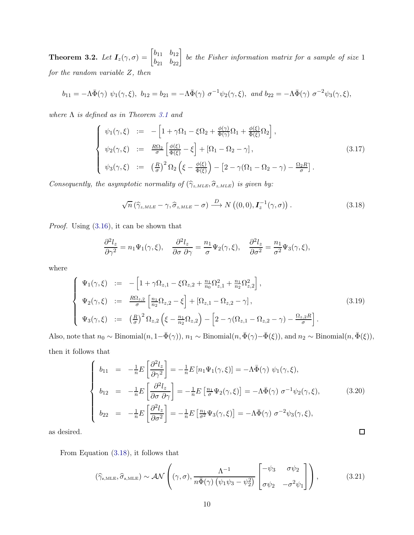**Theorem 3.2.** Let  $I_z(\gamma, \sigma) = \begin{bmatrix} b_{11} & b_{12} \ b_{21} & b_{22} \end{bmatrix}$  be the Fisher information matrix for a sample of size 1 *for the random variable* Z*, then*

$$
b_{11} = -\Lambda \bar{\Phi}(\gamma) \psi_1(\gamma, \xi), b_{12} = b_{21} = -\Lambda \bar{\Phi}(\gamma) \sigma^{-1} \psi_2(\gamma, \xi), and b_{22} = -\Lambda \bar{\Phi}(\gamma) \sigma^{-2} \psi_3(\gamma, \xi),
$$

*where* Λ *is defined as in Theorem [3.1](#page-7-1) and*

$$
\begin{cases}\n\psi_1(\gamma,\xi) := -\left[1 + \gamma \Omega_1 - \xi \Omega_2 + \frac{\phi(\gamma)}{\Phi(\gamma)} \Omega_1 + \frac{\phi(\xi)}{\Phi(\xi)} \Omega_2\right], \\
\psi_2(\gamma,\xi) := \frac{R\Omega_2}{\sigma} \left[\frac{\phi(\xi)}{\Phi(\xi)} - \xi\right] + \left[\Omega_1 - \Omega_2 - \gamma\right], \\
\psi_3(\gamma,\xi) := \left(\frac{R}{\sigma}\right)^2 \Omega_2 \left(\xi - \frac{\phi(\xi)}{\Phi(\xi)}\right) - \left[2 - \gamma(\Omega_1 - \Omega_2 - \gamma) - \frac{\Omega_2 R}{\sigma}\right].\n\end{cases} (3.17)
$$

*Consequently, the asymptotic normality of*  $(\widehat{\gamma}_{z,MLE}, \widehat{\sigma}_{z,MLE})$  *is given by:* 

<span id="page-9-0"></span>
$$
\sqrt{n} \left( \widehat{\gamma}_{z,MLE} - \gamma, \widehat{\sigma}_{z,MLE} - \sigma \right) \stackrel{D}{\longrightarrow} N \left( (0,0), \mathbf{I}_z^{-1}(\gamma, \sigma) \right). \tag{3.18}
$$

*Proof.* Using [\(3.16\)](#page-8-1), it can be shown that

$$
\frac{\partial^2 l_z}{\partial \gamma^2} = n_1 \Psi_1(\gamma, \xi), \quad \frac{\partial^2 l_z}{\partial \sigma \partial \gamma} = \frac{n_1}{\sigma} \Psi_2(\gamma, \xi), \quad \frac{\partial^2 l_z}{\partial \sigma^2} = \frac{n_1}{\sigma^2} \Psi_3(\gamma, \xi),
$$

where

$$
\begin{cases}\n\Psi_{1}(\gamma,\xi) := -\left[1 + \gamma \Omega_{z,1} - \xi \Omega_{z,2} + \frac{n_{1}}{n_{0}} \Omega_{z,1}^{2} + \frac{n_{1}}{n_{2}} \Omega_{z,2}^{2}\right], \\
\Psi_{2}(\gamma,\xi) := \frac{R\Omega_{z,2}}{\sigma} \left[\frac{n_{1}}{n_{2}} \Omega_{z,2} - \xi\right] + \left[\Omega_{z,1} - \Omega_{z,2} - \gamma\right], \\
\Psi_{3}(\gamma,\xi) := \left(\frac{R}{\sigma}\right)^{2} \Omega_{z,2} \left(\xi - \frac{n_{1}}{n_{2}} \Omega_{z,2}\right) - \left[2 - \gamma (\Omega_{z,1} - \Omega_{z,2} - \gamma) - \frac{\Omega_{z,2}R}{\sigma}\right].\n\end{cases}
$$
\n(3.19)

Also, note that  $n_0 \sim \text{Binomial}(n, 1-\bar{\Phi}(\gamma)), n_1 \sim \text{Binomial}(n, \bar{\Phi}(\gamma) - \bar{\Phi}(\xi)), \text{ and } n_2 \sim \text{Binomial}(n, \bar{\Phi}(\xi)),$ then it follows that

$$
\begin{cases}\nb_{11} = -\frac{1}{n}E\left[\frac{\partial^2 l_z}{\partial \gamma^2}\right] = -\frac{1}{n}E\left[n_1\Psi_1(\gamma,\xi)\right] = -\Lambda\bar{\Phi}(\gamma) \psi_1(\gamma,\xi), \\
b_{12} = -\frac{1}{n}E\left[\frac{\partial^2 l_z}{\partial \sigma \partial \gamma}\right] = -\frac{1}{n}E\left[\frac{n_1}{\sigma}\Psi_2(\gamma,\xi)\right] = -\Lambda\bar{\Phi}(\gamma) \sigma^{-1}\psi_2(\gamma,\xi),\n\end{cases} (3.20)
$$
\n
$$
b_{22} = -\frac{1}{n}E\left[\frac{\partial^2 l_z}{\partial \sigma^2}\right] = -\frac{1}{n}E\left[\frac{n_1}{\sigma^2}\Psi_3(\gamma,\xi)\right] = -\Lambda\bar{\Phi}(\gamma) \sigma^{-2}\psi_3(\gamma,\xi),
$$

as desired.

From Equation [\(3.18\)](#page-9-0), it follows that

<span id="page-9-1"></span>
$$
\left(\widehat{\gamma}_{z,\text{MLE}},\widehat{\sigma}_{z,\text{MLE}}\right) \sim \mathcal{AN}\left((\gamma,\sigma),\frac{\Lambda^{-1}}{n\bar{\Phi}(\gamma)\left(\psi_1\psi_3-\psi_2^2\right)}\begin{bmatrix}-\psi_3 & \sigma\psi_2\\ \sigma\psi_2 & -\sigma^2\psi_1\end{bmatrix}\right),\tag{3.21}
$$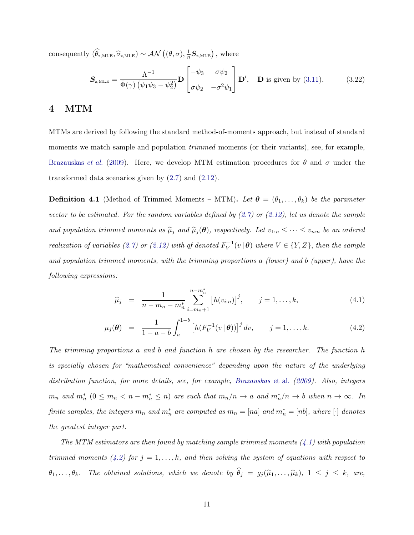consequently  $(\widehat{\theta}_{z,\text{MLE}}, \widehat{\sigma}_{z,\text{MLE}}) \sim \mathcal{AN}((\theta, \sigma), \frac{1}{n})$  $\frac{1}{n}S_{z,\text{MLE}}\right)$  , where

$$
\mathbf{S}_{z,\text{MLE}} = \frac{\Lambda^{-1}}{\bar{\Phi}(\gamma) \left(\psi_1 \psi_3 - \psi_2^2\right)} \mathbf{D} \begin{bmatrix} -\psi_3 & \sigma \psi_2 \\ \sigma \psi_2 & -\sigma^2 \psi_1 \end{bmatrix} \mathbf{D}', \quad \mathbf{D} \text{ is given by (3.11).} \tag{3.22}
$$

### <span id="page-10-0"></span>4 MTM

MTMs are derived by following the standard method-of-moments approach, but instead of standard moments we match sample and population *trimmed* moments (or their variants), see, for example, [Brazauskas](#page-29-11) *et al.* [\(2009](#page-29-11)). Here, we develop MTM estimation procedures for  $\theta$  and  $\sigma$  under the transformed data scenarios given by [\(2.7\)](#page-4-2) and [\(2.12\)](#page-5-0).

**Definition 4.1** (Method of Trimmed Moments – MTM). Let  $\boldsymbol{\theta} = (\theta_1, \dots, \theta_k)$  be the parameter *vector to be estimated. For the random variables defined by [\(2.7\)](#page-4-2) or [\(2.12\)](#page-5-0), let us denote the sample and population trimmed moments as*  $\hat{\mu}_j$  *and*  $\hat{\mu}_j(\theta)$ *, respectively. Let*  $v_{1:n} \leq \cdots \leq v_{n:n}$  *be an ordered realization of variables* [\(2.7\)](#page-4-2) *or* [\(2.12\)](#page-5-0) *with qf denoted*  $F_V^{-1}$  $V_V^{-1}(v | \boldsymbol{\theta})$  where  $V \in \{Y, Z\}$ , then the sample *and population trimmed moments, with the trimming proportions* a *(lower) and* b *(upper), have the following expressions:*

<span id="page-10-1"></span>
$$
\widehat{\mu}_j = \frac{1}{n - m_n - m_n^*} \sum_{i=m_n+1}^{n-m_n^*} \left[ h(v_{i:n}) \right]^j, \qquad j = 1, \dots, k,
$$
\n(4.1)

$$
\mu_j(\boldsymbol{\theta}) = \frac{1}{1 - a - b} \int_a^{1 - b} \left[ h(F_V^{-1}(v \, | \, \boldsymbol{\theta})) \right]^j dv, \qquad j = 1, \dots, k. \tag{4.2}
$$

*The trimming proportions* a *and* b *and function* h *are chosen by the researcher. The function* h *is specially chosen for "mathematical convenience" depending upon the nature of the underlying distribution function, for more details, see, for example, [Brazauskas](#page-29-11)* et al. *[\(2009\)](#page-29-11). Also, integers*  $m_n$  and  $m_n^*$   $(0 \le m_n < n - m_n^* \le n)$  are such that  $m_n/n \to a$  and  $m_n^*/n \to b$  when  $n \to \infty$ . In *finite samples, the integers*  $m_n$  *and*  $m_n^*$  *are computed as*  $m_n = [na]$  *and*  $m_n^* = [nb]$ *, where*  $[\cdot]$  *denotes the greatest integer part.*

*The MTM estimators are then found by matching sample trimmed moments [\(4.1\)](#page-10-1) with population trimmed moments*  $(4.2)$  *for*  $j = 1, ..., k$ *, and then solving the system of equations with respect to*  $\theta_1, \ldots, \theta_k$ . The obtained solutions, which we denote by  $\theta_j = g_j(\widehat{\mu}_1, \ldots, \widehat{\mu}_k)$ ,  $1 \leq j \leq k$ , are,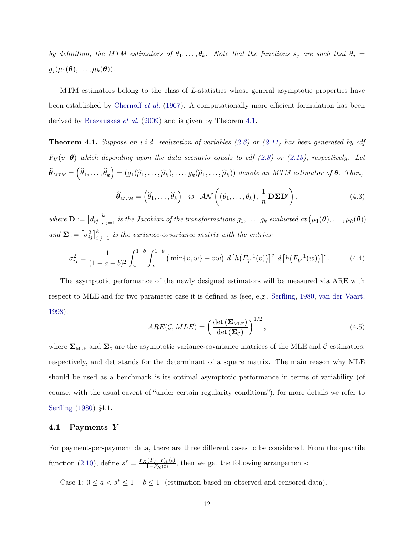*by definition, the MTM estimators of*  $\theta_1, \ldots, \theta_k$ . Note that the functions  $s_j$  are such that  $\theta_j =$  $g_j(\mu_1(\boldsymbol{\theta}), \ldots, \mu_k(\boldsymbol{\theta})).$ 

MTM estimators belong to the class of L-statistics whose general asymptotic properties have been established by [Chernoff](#page-29-10) *et al.* [\(1967](#page-29-10)). A computationally more efficient formulation has been derived by [Brazauskas](#page-29-11) *et al.* [\(2009\)](#page-29-11) and is given by Theorem [4.1.](#page-11-0)

<span id="page-11-0"></span>Theorem 4.1. *Suppose an i.i.d. realization of variables [\(2.6\)](#page-4-4) or [\(2.11\)](#page-5-3) has been generated by cdf*  $F_V(v \mid \theta)$  which depending upon the data scenario equals to cdf [\(2.8\)](#page-5-4) or [\(2.13\)](#page-5-5), respectively. Let  $\widehat{\boldsymbol{\theta}}_{MTM} = (\widehat{\theta}_1, \ldots, \widehat{\theta}_k) = (g_1(\widehat{\mu}_1, \ldots, \widehat{\mu}_k), \ldots, g_k(\widehat{\mu}_1, \ldots, \widehat{\mu}_k))$  denote an MTM estimator of  $\boldsymbol{\theta}$ . Then,

<span id="page-11-2"></span>
$$
\widehat{\boldsymbol{\theta}}_{MTM} = (\widehat{\theta}_1, \dots, \widehat{\theta}_k) \quad is \quad \mathcal{AN}\left((\theta_1, \dots, \theta_k), \frac{1}{n} \mathbf{D} \mathbf{\Sigma} \mathbf{D}'\right),\tag{4.3}
$$

 $where \mathbf{D} := [d_{ij}]_{i,j=1}^k$  is the Jacobian of the transformations  $g_1, \ldots, g_k$  evaluated at  $(\mu_1(\boldsymbol{\theta}), \ldots, \mu_k(\boldsymbol{\theta}))$ and  $\Sigma := \left[\sigma_{ij}^2\right]_{i,j=1}^k$  *is the variance-covariance matrix with the entries:* 

$$
\sigma_{ij}^2 = \frac{1}{(1-a-b)^2} \int_a^{1-b} \int_a^{1-b} \left( \min\{v, w\} - vw \right) d\left[ h \left( F_V^{-1}(v) \right) \right]^j d\left[ h \left( F_V^{-1}(w) \right) \right]^i. \tag{4.4}
$$

The asymptotic performance of the newly designed estimators will be measured via ARE with respect to MLE and for two parameter case it is defined as (see, e.g., [Serfling,](#page-30-16) [1980](#page-30-16), [van der Vaart](#page-30-17), [1998\)](#page-30-17):

<span id="page-11-4"></span><span id="page-11-1"></span>
$$
ARE(\mathcal{C},MLE) = \left(\frac{\det\left(\mathbf{\Sigma}_{MLE}\right)}{\det\left(\mathbf{\Sigma}_{c}\right)}\right)^{1/2},\tag{4.5}
$$

where  $\Sigma_{\text{MLE}}$  and  $\Sigma_c$  are the asymptotic variance-covariance matrices of the MLE and  $\mathcal C$  estimators, respectively, and det stands for the determinant of a square matrix. The main reason why MLE should be used as a benchmark is its optimal asymptotic performance in terms of variability (of course, with the usual caveat of "under certain regularity conditions"), for more details we refer to [Serfling](#page-30-16) [\(1980](#page-30-16)) §4.1.

#### <span id="page-11-3"></span>4.1 Payments Y

For payment-per-payment data, there are three different cases to be considered. From the quantile function [\(2.10\)](#page-5-6), define  $s^* = \frac{F_X(T) - F_X(t)}{1 - F_X(t)}$  $\frac{\Gamma(1) - \Gamma_X(t)}{1 - \Gamma_X(t)}$ , then we get the following arrangements:

Case 1:  $0 \le a < s^* \le 1 - b \le 1$  (estimation based on observed and censored data).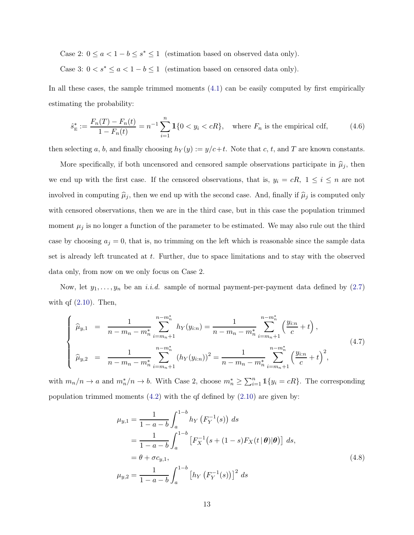Case 2:  $0 \le a < 1 - b \le s^* \le 1$  (estimation based on observed data only).

Case 3:  $0 < s^* \le a < 1 - b \le 1$  (estimation based on censored data only).

In all these cases, the sample trimmed moments [\(4.1\)](#page-10-1) can be easily computed by first empirically estimating the probability:

$$
\hat{s}_{\rm E}^* := \frac{F_n(T) - F_n(t)}{1 - F_n(t)} = n^{-1} \sum_{i=1}^n \mathbf{1} \{0 < y_i < cR\}, \quad \text{where } F_n \text{ is the empirical cdf},\tag{4.6}
$$

then selecting a, b, and finally choosing  $h_Y(y) := y/c + t$ . Note that c, t, and T are known constants.

More specifically, if both uncensored and censored sample observations participate in  $\hat{\mu}_j$ , then we end up with the first case. If the censored observations, that is,  $y_i = cR$ ,  $1 \le i \le n$  are not involved in computing  $\hat{\mu}_j$ , then we end up with the second case. And, finally if  $\hat{\mu}_j$  is computed only with censored observations, then we are in the third case, but in this case the population trimmed moment  $\mu_j$  is no longer a function of the parameter to be estimated. We may also rule out the third case by choosing  $a_j = 0$ , that is, no trimming on the left which is reasonable since the sample data set is already left truncated at  $t$ . Further, due to space limitations and to stay with the observed data only, from now on we only focus on Case 2.

Now, let  $y_1, \ldots, y_n$  be an *i.i.d.* sample of normal payment-per-payment data defined by  $(2.7)$ with qf  $(2.10)$ . Then,

$$
\begin{cases}\n\widehat{\mu}_{y,1} = \frac{1}{n - m_n - m_n^*} \sum_{i=m_n+1}^{n - m_n^*} h_Y(y_{i:n}) = \frac{1}{n - m_n - m_n^*} \sum_{i=m_n+1}^{n - m_n^*} \left(\frac{y_{i:n}}{c} + t\right), \\
\widehat{\mu}_{y,2} = \frac{1}{n - m_n - m_n^*} \sum_{i=m_n+1}^{n - m_n^*} (h_Y(y_{i:n}))^2 = \frac{1}{n - m_n - m_n^*} \sum_{i=m_n+1}^{n - m_n^*} \left(\frac{y_{i:n}}{c} + t\right)^2,\n\end{cases} (4.7)
$$

with  $m_n/n \to a$  and  $m_n^*/n \to b$ . With Case 2, choose  $m_n^* \geq \sum_{i=1}^n \mathbb{1}\{y_i = cR\}$ . The corresponding population trimmed moments [\(4.2\)](#page-10-1) with the qf defined by [\(2.10\)](#page-5-6) are given by:

$$
\mu_{y,1} = \frac{1}{1 - a - b} \int_{a}^{1 - b} h_{Y} \left( F_{Y}^{-1}(s) \right) ds
$$
  
\n
$$
= \frac{1}{1 - a - b} \int_{a}^{1 - b} \left[ F_{X}^{-1}(s + (1 - s)F_{X}(t | \boldsymbol{\theta}) | \boldsymbol{\theta}) \right] ds,
$$
  
\n
$$
= \theta + \sigma c_{y,1},
$$
  
\n
$$
\mu_{y,2} = \frac{1}{1 - a - b} \int_{a}^{1 - b} \left[ h_{Y} \left( F_{Y}^{-1}(s) \right) \right]^{2} ds
$$
\n(4.8)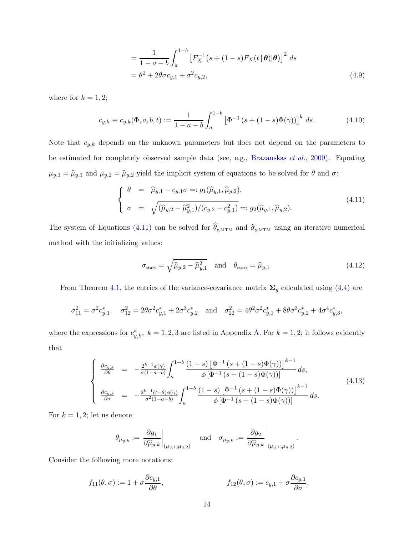<span id="page-13-2"></span>
$$
= \frac{1}{1-a-b} \int_{a}^{1-b} \left[ F_X^{-1} (s + (1-s)F_X(t \,|\, \theta) | \theta) \right]^2 ds
$$
  
=  $\theta^2 + 2\theta \sigma c_{y,1} + \sigma^2 c_{y,2},$  (4.9)

where for  $k = 1, 2;$ 

$$
c_{y,k} \equiv c_{y,k}(\Phi, a, b, t) := \frac{1}{1 - a - b} \int_a^{1 - b} \left[ \Phi^{-1} \left( s + (1 - s) \Phi(\gamma) \right) \right]^k ds. \tag{4.10}
$$

Note that  $c_{y,k}$  depends on the unknown parameters but does not depend on the parameters to be estimated for completely observed sample data (see, e.g., [Brazauskas](#page-29-11) *et al.*, [2009](#page-29-11)). Equating  $\mu_{y,1} = \hat{\mu}_{y,1}$  and  $\mu_{y,2} = \hat{\mu}_{y,2}$  yield the implicit system of equations to be solved for  $\theta$  and  $\sigma$ :

$$
\begin{cases}\n\theta = \hat{\mu}_{y,1} - c_{y,1}\sigma =: g_1(\hat{\mu}_{y,1}, \hat{\mu}_{y,2}), \\
\sigma = \sqrt{(\hat{\mu}_{y,2} - \hat{\mu}_{y,1}^2)/(c_{y,2} - c_{y,1}^2)} =: g_2(\hat{\mu}_{y,1}, \hat{\mu}_{y,2}).\n\end{cases}
$$
\n(4.11)

The system of Equations [\(4.11\)](#page-13-0) can be solved for  $\theta_{y,MTM}$  and  $\hat{\sigma}_{y,MTM}$  using an iterative numerical method with the initializing values:

<span id="page-13-0"></span>
$$
\sigma_{\text{start}} = \sqrt{\hat{\mu}_{y,2} - \hat{\mu}_{y,1}^2} \quad \text{and} \quad \theta_{\text{start}} = \hat{\mu}_{y,1}.
$$
\n(4.12)

<span id="page-13-3"></span><span id="page-13-1"></span>.

From Theorem [4.1,](#page-11-0) the entries of the variance-covariance matrix  $\Sigma_y$  calculated using [\(4.4\)](#page-11-1) are

$$
\sigma_{11}^2 = \sigma^2 c_{y,1}^*, \quad \sigma_{12}^2 = 2\theta \sigma^2 c_{y,1}^* + 2\sigma^3 c_{y,2}^* \quad \text{and} \quad \sigma_{22}^2 = 4\theta^2 \sigma^2 c_{y,1}^* + 8\theta \sigma^3 c_{y,2}^* + 4\sigma^4 c_{y,3}^*,
$$

where the expressions for  $c_{y,k}^*$ ,  $k = 1, 2, 3$  are listed in Appendix [A.](#page-31-0) For  $k = 1, 2$ ; it follows evidently that

$$
\begin{cases}\n\frac{\partial c_{y,k}}{\partial \theta} = -\frac{2^{k-1}\phi(\gamma)}{\sigma(1-a-b)} \int_{a}^{1-b} \frac{(1-s) \left[ \Phi^{-1} \left( s + (1-s) \Phi(\gamma) \right) \right]^{k-1}}{\phi \left[ \Phi^{-1} \left( s + (1-s) \Phi(\gamma) \right) \right]} ds, \\
\frac{\partial c_{y,k}}{\partial \sigma} = -\frac{2^{k-1}(t-\theta)\phi(\gamma)}{\sigma^2(1-a-b)} \int_{a}^{1-b} \frac{(1-s) \left[ \Phi^{-1} \left( s + (1-s) \Phi(\gamma) \right) \right]^{k-1}}{\phi \left[ \Phi^{-1} \left( s + (1-s) \Phi(\gamma) \right) \right]} ds.\n\end{cases} (4.13)
$$

For  $k = 1, 2$ ; let us denote

$$
\theta_{\mu_{y,k}} := \left. \frac{\partial g_1}{\partial \widehat{\mu}_{y,k}} \right|_{(\mu_{y,1};\mu_{y,2})} \quad \text{and} \quad \sigma_{\mu_{y,k}} := \left. \frac{\partial g_2}{\partial \widehat{\mu}_{y,k}} \right|_{(\mu_{y,1};\mu_{y,2})}
$$

Consider the following more notations:

$$
f_{11}(\theta,\sigma) := 1 + \sigma \frac{\partial c_{y,1}}{\partial \theta}, \qquad f_{12}(\theta,\sigma) := c_{y,1} + \sigma \frac{\partial c_{y,1}}{\partial \sigma},
$$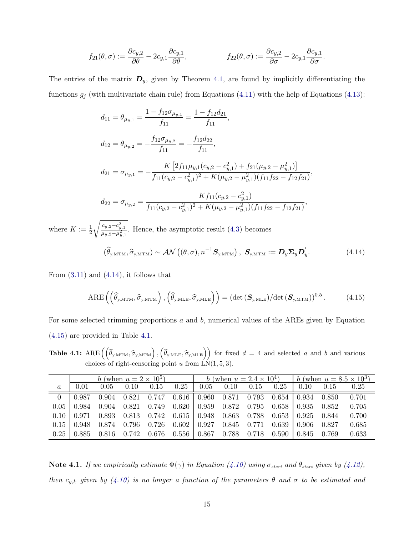$$
f_{21}(\theta,\sigma) := \frac{\partial c_{y,2}}{\partial \theta} - 2c_{y,1} \frac{\partial c_{y,1}}{\partial \theta}, \qquad f_{22}(\theta,\sigma) := \frac{\partial c_{y,2}}{\partial \sigma} - 2c_{y,1} \frac{\partial c_{y,1}}{\partial \sigma}.
$$

The entries of the matrix  $D_y$ , given by Theorem [4.1,](#page-11-0) are found by implicitly differentiating the functions  $g_j$  (with multivariate chain rule) from Equations [\(4.11\)](#page-13-0) with the help of Equations [\(4.13\)](#page-13-1):

$$
d_{11} = \theta_{\mu_{y,1}} = \frac{1 - f_{12}\sigma_{\mu_{y,1}}}{f_{11}} = \frac{1 - f_{12}d_{21}}{f_{11}},
$$
  
\n
$$
d_{12} = \theta_{\mu_{y,2}} = -\frac{f_{12}\sigma_{\mu_{y,2}}}{f_{11}} = -\frac{f_{12}d_{22}}{f_{11}},
$$
  
\n
$$
d_{21} = \sigma_{\mu_{y,1}} = -\frac{K\left[2f_{11}\mu_{y,1}(c_{y,2} - c_{y,1}^2) + f_{21}(\mu_{y,2} - \mu_{y,1}^2)\right]}{f_{11}(c_{y,2} - c_{y,1}^2)^2 + K(\mu_{y,2} - \mu_{y,1}^2)(f_{11}f_{22} - f_{12}f_{21})},
$$
  
\n
$$
d_{22} = \sigma_{\mu_{y,2}} = \frac{Kf_{11}(c_{y,2} - c_{y,1}^2)}{f_{11}(c_{y,2} - c_{y,1}^2)^2 + K(\mu_{y,2} - \mu_{y,1}^2)(f_{11}f_{22} - f_{12}f_{21})},
$$
  
\n
$$
\frac{G_{y,2} - c_{y,1}^2}{f_{11}(c_{y,2} - c_{y,1}^2)^2 + K(\mu_{y,2} - \mu_{y,1}^2)(f_{11}f_{22} - f_{12}f_{21})},
$$

where  $K := \frac{1}{2}$  $\mu_{y,2} - \mu_{y,1}^2$ ence, th  $(\widehat{\theta}_{\mathrm{y,MTM}}, \widehat{\sigma}_{\mathrm{y,MTM}}) \sim \mathcal{AN} \left( (\theta, \sigma), n^{-1} \boldsymbol{S}_{\mathrm{y,MTM}} \right), \ \boldsymbol{S}_{\mathrm{y,MTM}} := \boldsymbol{D}_y \boldsymbol{\Sigma}_y \boldsymbol{D}_y'$ 

From  $(3.11)$  and  $(4.14)$ , it follows that

<span id="page-14-0"></span>
$$
ARE\left(\left(\widehat{\theta}_{y,MTM}, \widehat{\sigma}_{y,MTM}\right), \left(\widehat{\theta}_{y,MLE}, \widehat{\sigma}_{y,MLE}\right)\right) = \left(\det\left(\mathbf{S}_{y,MLE}\right)/\det\left(\mathbf{S}_{y,MTM}\right)\right)^{0.5}.\tag{4.15}
$$

 $\overline{y}$ 

<span id="page-14-1"></span> $(4.14)$ 

For some selected trimming proportions a and b, numerical values of the AREs given by Equation [\(4.15\)](#page-14-1) are provided in Table [4.1.](#page-14-2)

<span id="page-14-2"></span>**Table 4.1:** ARE  $(\left(\widehat{\theta}_{y,MTM}, \widehat{\sigma}_{y,MTM}\right), \left(\widehat{\theta}_{y,MLE}, \widehat{\sigma}_{y,MLE}\right))$  for fixed  $d = 4$  and selected a and b and various choices of right-censoring point u from  $LN(1, 5, 3)$ .

|          |       |       | b (when $u = 2 \times 10^5$ ) |                                                         |                           |       |       |                   |                   | b (when $u = 2.4 \times 10^4$ )<br>b (when $u = 8.5 \times 10^3$ ) |       |       |  |
|----------|-------|-------|-------------------------------|---------------------------------------------------------|---------------------------|-------|-------|-------------------|-------------------|--------------------------------------------------------------------|-------|-------|--|
| $\alpha$ | 0.01  | 0.05  | 0.10                          | 0.15                                                    | 0.25                      | 0.05  | 0.10  | 0.15              | 0.25              | 0.10                                                               | 0.15  | 0.25  |  |
| $\Omega$ | 0.987 | 0.904 | 0.821                         | 0.747                                                   | $0.616$ 0.960 0.871 0.793 |       |       |                   | $0.654 \pm 0.934$ |                                                                    | 0.850 | 0.701 |  |
| 0.05     | 0.984 | 0.904 | 0.821                         | 0.749                                                   | 0.620                     |       |       | 0.959 0.872 0.795 | 0.658             | 0.935                                                              | 0.852 | 0.705 |  |
| $0.10 -$ | 0.971 | 0.893 |                               | $0.813$ $0.742$ $0.615$ 0.948 $0.863$ 0.788 0.653 0.925 |                           |       |       |                   |                   |                                                                    | 0.844 | 0.700 |  |
| 0.15     | 0.948 | 0.874 | 0.796                         | 0.726                                                   | 0.602                     | 0.927 | 0.845 | 0.771             | 0.639             | 0.906                                                              | 0.827 | 0.685 |  |
| 0.25     | 0.885 | 0.816 |                               | $0.742$ 0.676                                           | 0.556                     | 0.867 | 0.788 | 0.718             | 0.590             | 0.845                                                              | 0.769 | 0.633 |  |

<span id="page-14-3"></span>Note 4.1. *If we empirically estimate*  $\Phi(\gamma)$  *in Equation* [\(4.10\)](#page-13-2) *using*  $\sigma_{start}$  *and*  $\theta_{start}$  *given by* [\(4.12\)](#page-13-3), *then*  $c_{y,k}$  *given by* [\(4.10\)](#page-13-2) *is no longer a function of the parameters*  $\theta$  *and*  $\sigma$  *to be estimated and*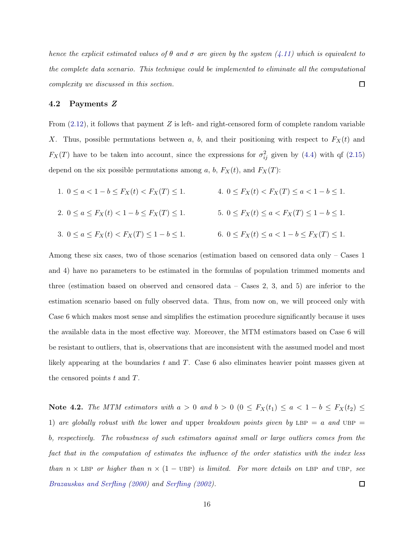*hence the explicit estimated values of* θ *and* σ *are given by the system [\(4.11\)](#page-13-0) which is equivalent to the complete data scenario. This technique could be implemented to eliminate all the computational*  $\Box$ *complexity we discussed in this section.*

#### <span id="page-15-0"></span>4.2 Payments Z

From  $(2.12)$ , it follows that payment Z is left- and right-censored form of complete random variable X. Thus, possible permutations between  $a, b$ , and their positioning with respect to  $F_X(t)$  and  $F_X(T)$  have to be taken into account, since the expressions for  $\sigma_{ij}^2$  given by [\(4.4\)](#page-11-1) with qf [\(2.15\)](#page-5-7) depend on the six possible permutations among a, b,  $F_X(t)$ , and  $F_X(T)$ :

1.  $0 \le a < 1 - b \le F_X(t) < F_X(T) \le 1$ .<br>4.  $0 \le F_X(t) < F_X(T) \le a < 1 - b \le 1$ . 2.  $0 \le a \le F_X(t) < 1 - b \le F_X(T) \le 1.$  5.  $0 \le F_X(t) \le a < F_X(T) \le 1 - b \le 1.$ 3.  $0 \le a \le F_X(t) < F_X(T) \le 1 - b \le 1$ .<br>6.  $0 \le F_X(t) \le a < 1 - b \le F_X(T) \le 1$ .

Among these six cases, two of those scenarios (estimation based on censored data only – Cases 1 and 4) have no parameters to be estimated in the formulas of population trimmed moments and three (estimation based on observed and censored data – Cases 2, 3, and 5) are inferior to the estimation scenario based on fully observed data. Thus, from now on, we will proceed only with Case 6 which makes most sense and simplifies the estimation procedure significantly because it uses the available data in the most effective way. Moreover, the MTM estimators based on Case 6 will be resistant to outliers, that is, observations that are inconsistent with the assumed model and most likely appearing at the boundaries t and T. Case 6 also eliminates heavier point masses given at the censored points  $t$  and  $T$ .

Note 4.2. *The MTM estimators with*  $a > 0$  *and*  $b > 0$  ( $0 \le F_X(t_1) \le a < 1 - b \le F_X(t_2) \le$ 1) are globally robust with the lower and upper breakdown points given by LBP = a and UBP = b*, respectively. The robustness of such estimators against small or large outliers comes from the fact that in the computation of estimates the influence of the order statistics with the index less than*  $n \times$  LBP *or higher than*  $n \times (1 - \text{UBP})$  *is limited. For more details on* LBP *and* UBP, *see [Brazauskas and Serfling](#page-29-14) [\(2000](#page-29-14)) and [Serfling](#page-30-9) [\(2002](#page-30-9)).*  $\Box$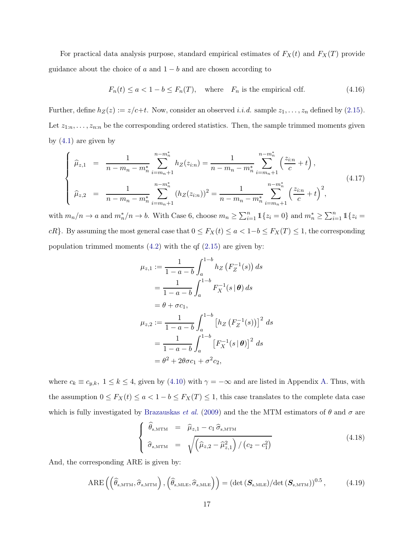For practical data analysis purpose, standard empirical estimates of  $F_X(t)$  and  $F_X(T)$  provide guidance about the choice of  $a$  and  $1 - b$  and are chosen according to

$$
F_n(t) \le a < 1 - b \le F_n(T), \quad \text{where} \quad F_n \text{ is the empirical cdf.} \tag{4.16}
$$

Further, define  $h_Z(z) := z/c+t$ . Now, consider an observed *i.i.d.* sample  $z_1, \ldots, z_n$  defined by [\(2.15\)](#page-5-7). Let  $z_{1:n}, \ldots, z_{n:n}$  be the corresponding ordered statistics. Then, the sample trimmed moments given by  $(4.1)$  are given by

$$
\begin{cases}\n\widehat{\mu}_{z,1} = \frac{1}{n - m_n - m_n^*} \sum_{i=m_n+1}^{n - m_n^*} h_Z(z_{i:n}) = \frac{1}{n - m_n - m_n^*} \sum_{i=m_n+1}^{n - m_n^*} \left(\frac{z_{i:n}}{c} + t\right), \\
\widehat{\mu}_{z,2} = \frac{1}{n - m_n - m_n^*} \sum_{i=m_n+1}^{n - m_n^*} (h_Z(z_{i:n}))^2 = \frac{1}{n - m_n - m_n^*} \sum_{i=m_n+1}^{n - m_n^*} \left(\frac{z_{i:n}}{c} + t\right)^2,\n\end{cases} (4.17)
$$

with  $m_n/n \to a$  and  $m_n^*/n \to b$ . With Case 6, choose  $m_n \ge \sum_{i=1}^n \mathbb{1}\{z_i = 0\}$  and  $m_n^* \ge \sum_{i=1}^n \mathbb{1}\{z_i = 0\}$ cR}. By assuming the most general case that  $0 \le F_X(t) \le a < 1-b \le F_X(T) \le 1$ , the corresponding population trimmed moments  $(4.2)$  with the qf  $(2.15)$  are given by:

$$
\mu_{z,1} := \frac{1}{1 - a - b} \int_{a}^{1 - b} h_Z \left( F_Z^{-1}(s) \right) ds
$$
  
= 
$$
\frac{1}{1 - a - b} \int_{a}^{1 - b} F_X^{-1}(s | \boldsymbol{\theta}) ds
$$
  
= 
$$
\theta + \sigma c_1,
$$
  

$$
\mu_{z,2} := \frac{1}{1 - a - b} \int_{a}^{1 - b} \left[ h_Z \left( F_Z^{-1}(s) \right) \right]^2 ds
$$
  
= 
$$
\frac{1}{1 - a - b} \int_{a}^{1 - b} \left[ F_X^{-1}(s | \boldsymbol{\theta}) \right]^2 ds
$$
  
= 
$$
\theta^2 + 2\theta \sigma c_1 + \sigma^2 c_2,
$$

where  $c_k \equiv c_{y,k}$ ,  $1 \le k \le 4$ , given by [\(4.10\)](#page-13-2) with  $\gamma = -\infty$  and are listed in Appendix [A.](#page-31-0) Thus, with the assumption  $0 \le F_X(t) \le a < 1 - b \le F_X(T) \le 1$ , this case translates to the complete data case which is fully investigated by [Brazauskas](#page-29-11) *et al.* [\(2009](#page-29-11)) and the the MTM estimators of  $\theta$  and  $\sigma$  are

<span id="page-16-1"></span><span id="page-16-0"></span>
$$
\begin{cases}\n\hat{\theta}_{z,\text{MTM}} = \hat{\mu}_{z,1} - c_1 \hat{\sigma}_{z,\text{MTM}} \\
\hat{\sigma}_{z,\text{MTM}} = \sqrt{\left(\hat{\mu}_{z,2} - \hat{\mu}_{z,1}^2\right) / \left(c_2 - c_1^2\right)}\n\end{cases}
$$
\n(4.18)

And, the corresponding ARE is given by:

$$
ARE\left(\left(\widehat{\theta}_{z,MTM}, \widehat{\sigma}_{z,MTM}\right), \left(\widehat{\theta}_{z,MLE}, \widehat{\sigma}_{z,MLE}\right)\right) = \left(\det\left(\mathbf{S}_{z,MLE}\right)/\det\left(\mathbf{S}_{z,MTM}\right)\right)^{0.5},\tag{4.19}
$$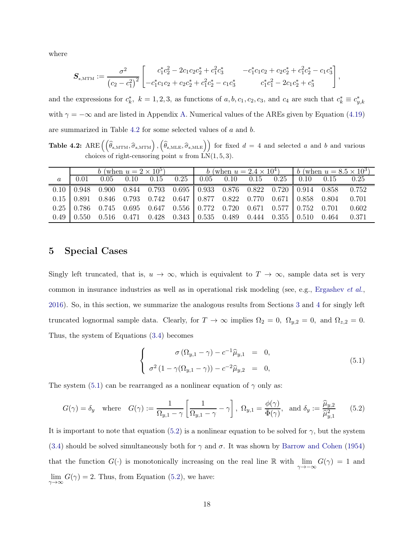where

$$
\boldsymbol{S}_{z,\text{MTM}} := \frac{\sigma^2}{\left(c_2 - c_1^2\right)^2} \begin{bmatrix} c_1^* c_2^2 - 2c_1 c_2 c_2^* + c_1^2 c_3^* & -c_1^* c_1 c_2 + c_2 c_2^* + c_1^2 c_2^* - c_1 c_3^* \\ -c_1^* c_1 c_2 + c_2 c_2^* + c_1^2 c_2^* - c_1 c_3^* & c_1^* c_1^2 - 2c_1 c_2^* + c_3^* \end{bmatrix}
$$

,

and the expressions for  $c_k^*$ ,  $k = 1, 2, 3$ , as functions of  $a, b, c_1, c_2, c_3$ , and  $c_4$  are such that  $c_k^* \equiv c_{y,k}^*$ with  $\gamma = -\infty$  and are listed in Appendix [A.](#page-31-0) Numerical values of the AREs given by Equation [\(4.19\)](#page-16-0) are summarized in Table [4.2](#page-17-1) for some selected values of a and b.

<span id="page-17-1"></span>**Table 4.2:** ARE  $(\left(\widehat{\theta}_{z, \text{MTM}}, \widehat{\sigma}_{z, \text{MTM}}\right), \left(\widehat{\theta}_{z, \text{MLE}}, \widehat{\sigma}_{z, \text{MLE}}\right))$  for fixed  $d = 4$  and selected a and b and various choices of right-censoring point u from  $LN(1, 5, 3)$ .

|          |        |      | b (when $u = 2 \times 10^5$ ) |                                                                                                      |      |           |      | <b>b</b> (when $u = 2.4 \times 10^4$ )<br>b (when $u = 8.5 \times 10^3$ ) |      |       |
|----------|--------|------|-------------------------------|------------------------------------------------------------------------------------------------------|------|-----------|------|---------------------------------------------------------------------------|------|-------|
| $\alpha$ | 0.01   | 0.05 | 0.10                          | 0.15                                                                                                 | 0.25 | 0.05 0.10 | 0.15 | $0.25 \pm 0.10$                                                           | 0.15 | 0.25  |
| 0.10     | 0.948  |      |                               | $0.900$ $0.844$ $0.793$ $0.695$ $0.933$ $0.876$ $0.822$ $0.720$ $0.914$ $0.858$                      |      |           |      |                                                                           |      | 0.752 |
|          |        |      |                               | $0.15$   $0.891$ $0.846$ $0.793$ $0.742$ $0.647$   $0.877$ $0.822$ $0.770$ $0.671$   $0.858$ $0.804$ |      |           |      |                                                                           |      | 0.701 |
|          |        |      |                               | $0.25$   $0.786$ $0.745$ $0.695$ $0.647$ $0.556$   $0.772$ $0.720$ $0.671$ $0.577$   $0.752$ $0.701$ |      |           |      |                                                                           |      | 0.602 |
| 0.49     | 10.550 |      |                               | $0.516$ $0.471$ $0.428$ $0.343$ $0.535$ $0.489$ $0.444$ $0.355$ $0.510$ $0.464$                      |      |           |      |                                                                           |      | 0.371 |

### <span id="page-17-0"></span>5 Special Cases

Singly left truncated, that is,  $u \to \infty$ , which is equivalent to  $T \to \infty$ , sample data set is very common in insurance industries as well as in operational risk modeling (see, e.g., [Ergashev](#page-29-0) *et al.*, [2016\)](#page-29-0). So, in this section, we summarize the analogous results from Sections [3](#page-6-0) and [4](#page-10-0) for singly left truncated lognormal sample data. Clearly, for  $T \to \infty$  implies  $\Omega_2 = 0$ ,  $\Omega_{y,2} = 0$ , and  $\Omega_{z,2} = 0$ . Thus, the system of Equations [\(3.4\)](#page-6-2) becomes

<span id="page-17-3"></span><span id="page-17-2"></span>
$$
\begin{cases}\n\sigma(\Omega_{y,1} - \gamma) - c^{-1} \hat{\mu}_{y,1} = 0, \\
\sigma^2 (1 - \gamma(\Omega_{y,1} - \gamma)) - c^{-2} \hat{\mu}_{y,2} = 0,\n\end{cases}
$$
\n(5.1)

The system [\(5.1\)](#page-17-2) can be rearranged as a nonlinear equation of  $\gamma$  only as:

$$
G(\gamma) = \delta_y \quad \text{where} \quad G(\gamma) := \frac{1}{\Omega_{y,1} - \gamma} \left[ \frac{1}{\Omega_{y,1} - \gamma} - \gamma \right], \ \Omega_{y,1} = \frac{\phi(\gamma)}{\bar{\Phi}(\gamma)}, \ \text{and } \delta_y := \frac{\widehat{\mu}_{y,2}}{\widehat{\mu}_{y,1}^2} \tag{5.2}
$$

It is important to note that equation [\(5.2\)](#page-17-3) is a nonlinear equation to be solved for  $\gamma$ , but the system [\(3.4\)](#page-6-2) should be solved simultaneously both for  $\gamma$  and  $\sigma$ . It was shown by [Barrow and Cohen](#page-29-15) [\(1954\)](#page-29-15) that the function  $G(\cdot)$  is monotonically increasing on the real line R with  $\lim_{\gamma \to -\infty} G(\gamma) = 1$  and  $\lim_{\gamma \to \infty} G(\gamma) = 2$ . Thus, from Equation [\(5.2\)](#page-17-3), we have: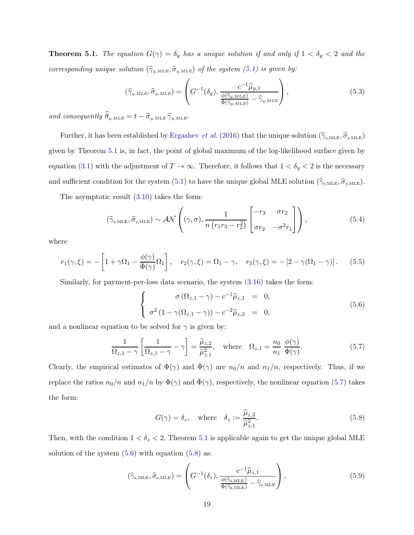<span id="page-18-1"></span>**Theorem 5.1.** *The equation*  $G(\gamma) = \delta_y$  *has a unique solution if and only if*  $1 < \delta_y < 2$  *and the corresponding unique solution*  $(\hat{\gamma}_{y,MLE}, \hat{\sigma}_{y,MLE})$  *of the system* [\(5.1\)](#page-17-2) *is given by:* 

$$
(\widehat{\gamma}_{y,MLE}, \widehat{\sigma}_{y,MLE}) = \left( G^{-1}(\delta_y), \frac{c^{-1} \widehat{\mu}_{y,1}}{\frac{\phi(\widehat{\gamma}_{y,MLE})}{\Phi(\widehat{\gamma}_{y,MLE})} - \widehat{\gamma}_{y,MLE}} \right), \tag{5.3}
$$

*and consequently*  $\theta_{y,MLE} = t - \hat{\sigma}_{y,MLE} \hat{\gamma}_{y,MLE}$ .

Further, it has been established by [Ergashev](#page-29-0) *et al.* [\(2016](#page-29-0)) that the unique solution  $(\hat{\gamma}_{y,\text{MLE}}, \hat{\sigma}_{y,\text{MLE}})$ given by Theorem [5.1](#page-18-1) is, in fact, the point of global maximum of the log-likelihood surface given by equation [\(3.1\)](#page-6-3) with the adjustment of  $T \to \infty$ . Therefore, it follows that  $1 < \delta_y < 2$  is the necessary and sufficient condition for the system [\(5.1\)](#page-17-2) to have the unique global MLE solution  $(\hat{\gamma}_{y,\text{MLE}}, \hat{\sigma}_{y,\text{MLE}})$ .

The asymptotic result [\(3.10\)](#page-7-2) takes the form:

$$
\left(\widehat{\gamma}_{y,\text{MLE}},\widehat{\sigma}_{y,\text{MLE}}\right) \sim \mathcal{AN}\left((\gamma,\sigma),\frac{1}{n\left(r_{1}r_{3}-r_{2}^{2}\right)}\begin{bmatrix}-r_{3} & \sigma r_{2} \\ \sigma r_{2} & -\sigma^{2}r_{1}\end{bmatrix}\right),\tag{5.4}
$$

where

$$
r_1(\gamma,\xi) = -\left[1 + \gamma \Omega_1 - \frac{\phi(\gamma)}{\bar{\Phi}(\gamma)} \Omega_1\right], \quad r_2(\gamma,\xi) = \Omega_1 - \gamma, \quad r_3(\gamma,\xi) = -\left[2 - \gamma(\Omega_1 - \gamma)\right]. \tag{5.5}
$$

Similarly, for payment-per-loss data scenario, the system [\(3.16\)](#page-8-1) takes the form:

<span id="page-18-3"></span>
$$
\begin{cases}\n\sigma(\Omega_{z,1} - \gamma) - c^{-1} \hat{\mu}_{z,1} = 0, \\
\sigma^2 (1 - \gamma(\Omega_{z,1} - \gamma)) - c^{-2} \hat{\mu}_{z,2} = 0,\n\end{cases}
$$
\n(5.6)

and a nonlinear equation to be solved for  $\gamma$  is given by:

$$
\frac{1}{\Omega_{z,1} - \gamma} \left[ \frac{1}{\Omega_{z,1} - \gamma} - \gamma \right] = \frac{\widehat{\mu}_{z,2}}{\widehat{\mu}_{z,1}^2}, \quad \text{where} \quad \Omega_{z,1} = \frac{n_0}{n_1} \frac{\phi(\gamma)}{\Phi(\gamma)}. \tag{5.7}
$$

Clearly, the empirical estimates of  $\Phi(\gamma)$  and  $\bar{\Phi}(\gamma)$  are  $n_0/n$  and  $n_1/n$ , respectively. Thus, if we replace the ratios  $n_0/n$  and  $n_1/n$  by  $\Phi(\gamma)$  and  $\bar{\Phi}(\gamma)$ , respectively, the nonlinear equation [\(5.7\)](#page-18-2) takes the form:

<span id="page-18-4"></span><span id="page-18-2"></span><span id="page-18-0"></span>
$$
G(\gamma) = \delta_z, \quad \text{where} \quad \delta_z := \frac{\widehat{\mu}_{z,2}}{\widehat{\mu}_{z,1}^2}.
$$
 (5.8)

Then, with the condition  $1 < \delta_z < 2$ , Theorem [5.1](#page-18-1) is applicable again to get the unique global MLE solution of the system  $(5.6)$  with equation  $(5.8)$  as:

$$
\left(\widehat{\gamma}_{z,\text{MLE}},\widehat{\sigma}_{z,\text{MLE}}\right) = \left(G^{-1}(\delta_z), \frac{c^{-1}\widehat{\mu}_{z,1}}{\frac{\phi(\widehat{\gamma}_{z,\text{MLE}})}{\Phi(\widehat{\gamma}_{z,\text{MLE}})} - \widehat{\gamma}_{z,\text{MLE}}}\right),\tag{5.9}
$$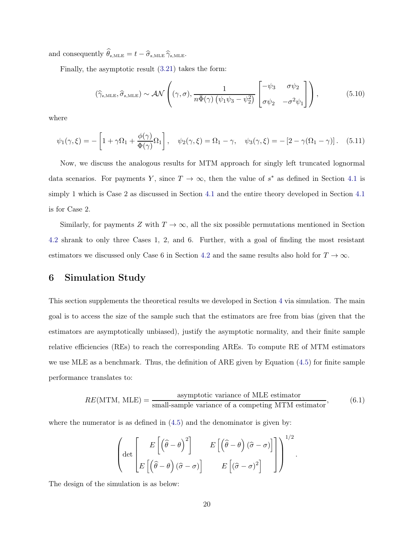and consequently  $\theta_{z,\text{MLE}} = t - \hat{\sigma}_{z,\text{MLE}} \hat{\gamma}_{z,\text{MLE}}.$ 

Finally, the asymptotic result [\(3.21\)](#page-9-1) takes the form:

$$
\left(\widehat{\gamma}_{z,\text{MLE}},\widehat{\sigma}_{z,\text{MLE}}\right) \sim \mathcal{AN}\left((\gamma,\sigma),\frac{1}{n\bar{\Phi}(\gamma)\left(\psi_1\psi_3-\psi_2^2\right)}\begin{bmatrix}-\psi_3 & \sigma\psi_2\\ \sigma\psi_2 & -\sigma^2\psi_1\end{bmatrix}\right),\tag{5.10}
$$

where

$$
\psi_1(\gamma,\xi) = -\left[1 + \gamma \Omega_1 + \frac{\phi(\gamma)}{\Phi(\gamma)} \Omega_1\right], \quad \psi_2(\gamma,\xi) = \Omega_1 - \gamma, \quad \psi_3(\gamma,\xi) = -\left[2 - \gamma(\Omega_1 - \gamma)\right]. \tag{5.11}
$$

Now, we discuss the analogous results for MTM approach for singly left truncated lognormal data scenarios. For payments Y, since  $T \to \infty$ , then the value of  $s^*$  as defined in Section [4.1](#page-11-3) is simply 1 which is Case 2 as discussed in Section [4.1](#page-11-3) and the entire theory developed in Section [4.1](#page-11-3) is for Case 2.

Similarly, for payments Z with  $T \to \infty$ , all the six possible permutations mentioned in Section [4.2](#page-15-0) shrank to only three Cases 1, 2, and 6. Further, with a goal of finding the most resistant estimators we discussed only Case 6 in Section [4.2](#page-15-0) and the same results also hold for  $T \to \infty$ .

### <span id="page-19-0"></span>6 Simulation Study

This section supplements the theoretical results we developed in Section [4](#page-10-0) via simulation. The main goal is to access the size of the sample such that the estimators are free from bias (given that the estimators are asymptotically unbiased), justify the asymptotic normality, and their finite sample relative efficiencies (REs) to reach the corresponding AREs. To compute RE of MTM estimators we use MLE as a benchmark. Thus, the definition of ARE given by Equation [\(4.5\)](#page-11-4) for finite sample performance translates to:

$$
RE(MTM, MLE) = \frac{\text{asymptotic variance of MLE estimator}}{\text{small-sample variance of a competing MTM estimator}},
$$
(6.1)

.

where the numerator is as defined in  $(4.5)$  and the denominator is given by:

$$
\left( \det \begin{bmatrix} E\left[ \left( \widehat{\theta} - \theta \right)^2 \right] & E\left[ \left( \widehat{\theta} - \theta \right) \left( \widehat{\sigma} - \sigma \right) \right] \\ E\left[ \left( \widehat{\theta} - \theta \right) \left( \widehat{\sigma} - \sigma \right) \right] & E\left[ \left( \widehat{\sigma} - \sigma \right)^2 \right] \end{bmatrix} \right)^{1/2}
$$

The design of the simulation is as below: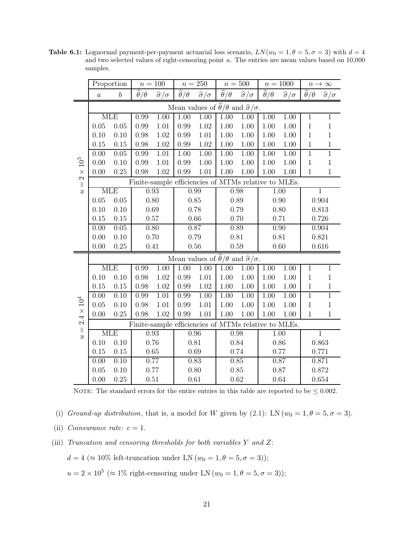|                                  |                   | Proportion                                           |                                  | $n=100$                   |                                  | $n=250$                                                                  |                           | $n=500\,$                 | $n = 1000$                       |                           |                                      | $n \to \infty$            |  |  |
|----------------------------------|-------------------|------------------------------------------------------|----------------------------------|---------------------------|----------------------------------|--------------------------------------------------------------------------|---------------------------|---------------------------|----------------------------------|---------------------------|--------------------------------------|---------------------------|--|--|
|                                  | $\boldsymbol{a}$  | $\boldsymbol{b}$                                     | $\overline{\hat{\theta}}/\theta$ | $\widehat{\sigma}/\sigma$ | $\overline{\hat{\theta}}/\theta$ | $\widehat{\sigma}/\sigma$                                                | $\widehat{\theta}/\theta$ | $\widehat{\sigma}/\sigma$ | $\overline{\hat{\theta}}/\theta$ | $\widehat{\sigma}/\sigma$ | $\overline{\widehat{\theta}}/\theta$ | $\widehat{\sigma}/\sigma$ |  |  |
|                                  |                   |                                                      |                                  |                           |                                  | Mean values of $\widehat{\theta}/\theta$ and $\widehat{\sigma}/\sigma$ . |                           |                           |                                  |                           |                                      |                           |  |  |
|                                  |                   | <b>MLE</b>                                           | 0.99                             | 1.00                      | $\overline{1.00}$                | 1.00                                                                     | $\overline{1.00}$         | 1.00                      | $1.00\,$                         | $\overline{1.00}$         | $\mathbf 1$                          | $\mathbf{1}$              |  |  |
|                                  | 0.05              | 0.05                                                 | 0.99                             | 1.01                      | 0.99                             | 1.02                                                                     | 1.00                      | 1.00                      | 1.00                             | 1.00                      | $\,1$                                | $\mathbf{1}$              |  |  |
|                                  | 0.10              | 0.10                                                 | 0.98                             | 1.02                      | 0.99                             | 1.01                                                                     | 1.00                      | 1.00                      | $1.00\,$                         | 1.00                      | $\,1$                                | $\,1$                     |  |  |
|                                  | 0.15              | $0.15\,$                                             | $0.98\,$                         | $1.02\,$                  | 0.99                             | 1.02                                                                     | 1.00                      | $1.00\,$                  | $1.00\,$                         | 1.00                      | $\mathbf{1}$                         | $\,1$                     |  |  |
|                                  | 0.00              | 0.05                                                 | 0.99                             | 1.01                      | 1.00                             | 1.00                                                                     | 1.00                      | 1.00                      | 1.00                             | 1.00                      | $\mathbf 1$                          | $\overline{1}$            |  |  |
| $10^5$                           | 0.00              | 0.10                                                 | 0.99                             | 1.01                      | 0.99                             | $1.00\,$                                                                 | 1.00                      | 1.00                      | $1.00\,$                         | 1.00                      | $\,1$                                | $\mathbf{1}$              |  |  |
| $\times$                         | 0.00              | 0.25                                                 | 0.98                             | 1.02                      | 0.99                             | $1.01\,$                                                                 | 1.00                      | $1.00\,$                  | $1.00\,$                         | $1.00\,$                  | $\mathbf{1}$                         | $\mathbf{1}$              |  |  |
| $\mathcal{C}$<br>$\vert\vert$    |                   | Finite-sample efficiencies of MTMs relative to MLEs. |                                  |                           |                                  |                                                                          |                           |                           |                                  |                           |                                      |                           |  |  |
| $\boldsymbol{z}$                 |                   | <b>MLE</b>                                           | 0.93                             |                           |                                  | 0.99                                                                     | 0.98                      |                           |                                  | 1.00                      | 1                                    |                           |  |  |
|                                  | 0.05              | 0.05                                                 | 0.80                             |                           |                                  | 0.85                                                                     |                           | 0.89                      |                                  | 0.90                      |                                      | 0.904                     |  |  |
|                                  | 0.10              | 0.10                                                 | 0.69                             |                           |                                  | 0.78                                                                     | 0.79                      |                           | 0.80                             |                           | 0.813                                |                           |  |  |
|                                  | 0.15              | 0.15                                                 | $0.57\,$                         |                           |                                  | 0.66                                                                     | 0.70                      |                           | 0.71                             |                           |                                      | 0.726                     |  |  |
|                                  | $\overline{0.00}$ | $\overline{0.05}$                                    | 0.80                             |                           |                                  | 0.87                                                                     | 0.89                      |                           | 0.90                             |                           |                                      | 0.904                     |  |  |
|                                  | 0.00              | 0.10                                                 | 0.70                             |                           |                                  | 0.79                                                                     | 0.81                      |                           | 0.81                             |                           |                                      | 0.821                     |  |  |
|                                  | 0.00              | 0.25                                                 | 0.41                             |                           | 0.56                             |                                                                          | 0.59                      |                           | 0.60                             |                           | 0.616                                |                           |  |  |
|                                  |                   |                                                      |                                  |                           |                                  | Mean values of $\widehat{\theta}/\theta$ and $\widehat{\sigma}/\sigma$ . |                           |                           |                                  |                           |                                      |                           |  |  |
|                                  |                   | <b>MLE</b>                                           | 0.99                             | 1.00                      | 1.00                             | 1.00                                                                     | 1.00                      | 1.00                      | 1.00                             | $\overline{1.00}$         | $\mathbf{1}$                         | $\overline{1}$            |  |  |
|                                  | 0.10              | 0.10                                                 | 0.98                             | 1.02                      | 0.99                             | 1.01                                                                     | 1.00                      | 1.00                      | 1.00                             | 1.00                      | $\,1$                                | $\mathbf{1}$              |  |  |
|                                  | 0.15              | 0.15                                                 | 0.98                             | 1.02                      | 0.99                             | 1.02                                                                     | $1.00\,$                  | 1.00                      | 1.00                             | 1.00                      | $\,1\,$                              | $\,1$                     |  |  |
|                                  | $\overline{0.00}$ | 0.10                                                 | 0.99                             | $\overline{1.01}$         | 0.99                             | $\overline{1.00}$                                                        | 1.00                      | $\overline{1.00}$         | 1.00                             | 1.00                      | $\overline{1}$                       | $\overline{1}$            |  |  |
|                                  | 0.05              | 0.10                                                 | 0.98                             | 1.01                      | 0.99                             | 1.01                                                                     | 1.00                      | 1.00                      | $1.00\,$                         | 1.00                      | $\mathbf{1}$                         | $\mathbf{1}$              |  |  |
| $2.4 \times 10^{4}$              | 0.00              | 0.25                                                 | 0.98                             | 1.02                      | 0.99                             | 1.01                                                                     | 1.00                      | 1.00                      | 1.00                             | 1.00                      | $\mathbf{1}$                         | $\mathbf{1}$              |  |  |
|                                  |                   |                                                      |                                  |                           |                                  | Finite-sample efficiencies of MTMs relative to MLEs.                     |                           |                           |                                  |                           |                                      |                           |  |  |
| $\vert\vert$<br>$\boldsymbol{y}$ |                   | <b>MLE</b>                                           |                                  | 0.93                      |                                  | $\overline{0.96}$                                                        |                           | 0.98                      |                                  | $\overline{1.00}$         |                                      | $\overline{1}$            |  |  |
|                                  | 0.10              | 0.10                                                 | 0.76                             |                           |                                  | 0.81                                                                     | 0.84                      |                           | 0.86                             |                           | 0.863                                |                           |  |  |
|                                  | 0.15              | 0.15                                                 |                                  | 0.65                      |                                  | 0.69                                                                     |                           | 0.74                      | 0.77                             |                           | 0.771                                |                           |  |  |
|                                  | 0.00              | 0.10                                                 | 0.77                             |                           |                                  | 0.83                                                                     |                           | 0.85                      |                                  | 0.87                      |                                      | 0.871                     |  |  |
|                                  | 0.05              | 0.10                                                 |                                  | 0.77                      |                                  | 0.80                                                                     | 0.85                      |                           | 0.87                             |                           |                                      | 0.872                     |  |  |
|                                  | 0.00              | 0.25                                                 | 0.51                             |                           |                                  | 0.61                                                                     | 0.62                      |                           |                                  | 0.64                      |                                      | 0.654                     |  |  |

<span id="page-20-0"></span>Table 6.1: Lognormal payment-per-payment actuarial loss scenario,  $LN(w_0 = 1, \theta = 5, \sigma = 3)$  with  $d = 4$ and two selected values of right-censoring point  $u$ . The entries are mean values based on  $10,000$ samples.

NOTE: The standard errors for the entire entries in this table are reported to be  $\leq 0.002$ .

(i) *Ground-up distribution*, that is, a model for W given by [\(2.1\)](#page-3-1): LN ( $w_0 = 1, \theta = 5, \sigma = 3$ ).

- (ii) *Coinsurance rate:*  $c = 1$ .
- (iii) *Truncation and censoring thresholds for both variables* Y *and* Z:

 $d = 4 \approx 10\%$  left-truncation under LN  $(w_0 = 1, \theta = 5, \sigma = 3)$ ;

 $u = 2 \times 10^5 \approx 1\%$  right-censoring under LN  $(w_0 = 1, \theta = 5, \sigma = 3)$ ;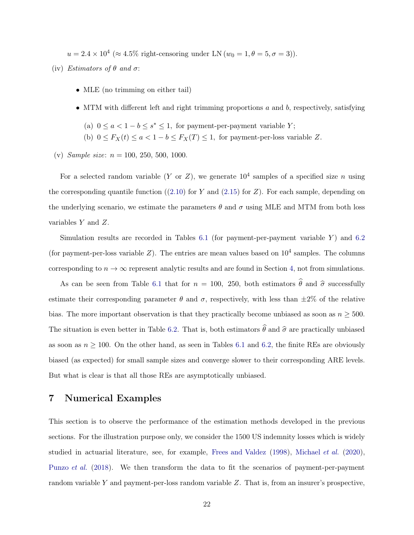$u = 2.4 \times 10^4 \approx 4.5\%$  right-censoring under LN  $(w_0 = 1, \theta = 5, \sigma = 3)$ ).

- (iv) *Estimators of*  $\theta$  *and*  $\sigma$ :
	- MLE (no trimming on either tail)
	- MTM with different left and right trimming proportions  $a$  and  $b$ , respectively, satisfying
		- (a)  $0 \le a < 1 b \le s^* \le 1$ , for payment-per-payment variable Y;
		- (b)  $0 \le F_X(t) \le a < 1 b \le F_X(T) \le 1$ , for payment-per-loss variable Z.
- (v) *Sample size*: n = 100, 250, 500, 1000.

For a selected random variable  $(Y \text{ or } Z)$ , we generate  $10^4$  samples of a specified size n using the corresponding quantile function  $((2.10)$  $((2.10)$  for Y and  $(2.15)$  for Z). For each sample, depending on the underlying scenario, we estimate the parameters  $\theta$  and  $\sigma$  using MLE and MTM from both loss variables Y and Z.

Simulation results are recorded in Tables [6.1](#page-20-0) (for payment-per-payment variable  $Y$ ) and [6.2](#page-22-0) (for payment-per-loss variable  $Z$ ). The entries are mean values based on  $10^4$  samples. The columns corresponding to  $n \to \infty$  represent analytic results and are found in Section [4,](#page-10-0) not from simulations.

As can be seen from Table [6.1](#page-20-0) that for  $n = 100$ , 250, both estimators  $\hat{\theta}$  and  $\hat{\sigma}$  successfully estimate their corresponding parameter  $\theta$  and  $\sigma$ , respectively, with less than  $\pm 2\%$  of the relative bias. The more important observation is that they practically become unbiased as soon as  $n \geq 500$ . The situation is even better in Table [6.2.](#page-22-0) That is, both estimators  $\hat{\theta}$  and  $\hat{\sigma}$  are practically unbiased as soon as  $n \geq 100$ . On the other hand, as seen in Tables [6.1](#page-20-0) and [6.2,](#page-22-0) the finite REs are obviously biased (as expected) for small sample sizes and converge slower to their corresponding ARE levels. But what is clear is that all those REs are asymptotically unbiased.

#### <span id="page-21-0"></span>7 Numerical Examples

This section is to observe the performance of the estimation methods developed in the previous sections. For the illustration purpose only, we consider the 1500 US indemnity losses which is widely studied in actuarial literature, see, for example, [Frees and Valdez](#page-29-16) [\(1998\)](#page-29-16), [Michael](#page-30-11) *et al.* [\(2020\)](#page-30-11), [Punzo](#page-30-6) *et al.* [\(2018\)](#page-30-6). We then transform the data to fit the scenarios of payment-per-payment random variable Y and payment-per-loss random variable Z. That is, from an insurer's prospective,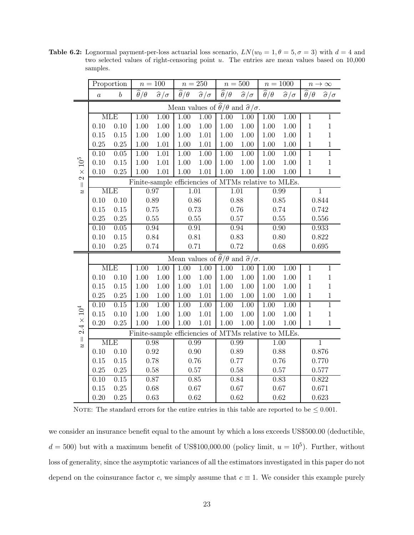|                                   |                   | Proportion        |                           | $n = 100$                                            |                           | $n = 250$                                                                |                           | $n=500$                   |                           | $n = 1000$                |                           | $n \to \infty$            |
|-----------------------------------|-------------------|-------------------|---------------------------|------------------------------------------------------|---------------------------|--------------------------------------------------------------------------|---------------------------|---------------------------|---------------------------|---------------------------|---------------------------|---------------------------|
|                                   | $\boldsymbol{a}$  | $\boldsymbol{b}$  | $\widehat{\theta}/\theta$ | $\widehat{\sigma}/\sigma$                            | $\widehat{\theta}/\theta$ | $\widehat{\sigma}/\sigma$                                                | $\widehat{\theta}/\theta$ | $\widehat{\sigma}/\sigma$ | $\widehat{\theta}/\theta$ | $\widehat{\sigma}/\sigma$ | $\widehat{\theta}/\theta$ | $\widehat{\sigma}/\sigma$ |
|                                   |                   |                   |                           |                                                      |                           | Mean values of $\widehat{\theta}/\theta$ and $\widehat{\sigma}/\sigma$ . |                           |                           |                           |                           |                           |                           |
|                                   |                   | <b>MLE</b>        | $\overline{1.00}$         | $\overline{1.00}$                                    | $\overline{1.00}$         | 1.00                                                                     | $\overline{1.00}$         | $1.00\,$                  | 1.00                      | $\overline{1.00}$         | $\overline{1}$            | $\mathbf{1}$              |
|                                   | 0.10              | 0.10              | 1.00                      | $1.00\,$                                             | 1.00                      | 1.00                                                                     | 1.00                      | 1.00                      | 1.00                      | 1.00                      | $\,1$                     | $\,1$                     |
|                                   | 0.15              | 0.15              | $1.00\,$                  | $1.00\,$                                             | 1.00                      | $1.01\,$                                                                 | 1.00                      | $1.00\,$                  | 1.00                      | $1.00\,$                  | $\,1$                     | $\,1\,$                   |
|                                   | 0.25              | 0.25              | $1.00\,$                  | 1.01                                                 | 1.00                      | 1.01                                                                     | 1.00                      | $1.00\,$                  | 1.00                      | 1.00                      | $\,1$                     | $\,1$                     |
|                                   | 0.10              | 0.05              | 1.00                      | $\overline{1.01}$                                    | 1.00                      | 1.00                                                                     | 1.00                      | 1.00                      | 1.00                      | $\overline{1.00}$         | $\overline{1}$            | $\overline{1}$            |
| 10 <sup>5</sup>                   | 0.10              | $0.15\,$          | $1.00\,$                  | $1.01\,$                                             | $1.00\,$                  | 1.00                                                                     | 1.00                      | $1.00\,$                  | $1.00\,$                  | $1.00\,$                  | $\,1$                     | $\,1\,$                   |
| $\times$                          | 0.10              | $0.25\,$          | $1.00\,$                  | $1.01\,$                                             | 1.00                      | $1.01\,$                                                                 | 1.00                      | $1.00\,$                  | $1.00\,$                  | $1.00\,$                  | $\,1\,$                   | $\mathbf{1}$              |
| $\mathbf{\Omega}$<br>$\vert\vert$ |                   |                   |                           | Finite-sample efficiencies of MTMs relative to MLEs. |                           |                                                                          |                           |                           |                           |                           |                           |                           |
| $\boldsymbol{u}$                  |                   | <b>MLE</b>        |                           | 0.97                                                 |                           | 1.01                                                                     |                           | 1.01                      |                           | 0.99                      | 1                         |                           |
|                                   | 0.10              | 0.10              | 0.89                      |                                                      |                           | 0.86                                                                     | 0.88                      |                           |                           | $0.85\,$                  | 0.844                     |                           |
|                                   | 0.15              | 0.15              | 0.75                      |                                                      |                           | 0.73<br>0.76                                                             |                           |                           | 0.74                      |                           | 0.742                     |                           |
|                                   | 0.25              | $0.25\,$          | $0.55\,$                  |                                                      |                           | 0.55                                                                     | $0.57\,$                  |                           | $0.55\,$                  |                           | 0.556                     |                           |
|                                   | $0.\overline{10}$ | $\overline{0.05}$ | 0.94                      |                                                      |                           | $\overline{0.91}$                                                        |                           | 0.94                      | $\overline{0.90}$         |                           |                           | 0.933                     |
|                                   | 0.10              | 0.15              | 0.84                      |                                                      |                           | $0.81\,$                                                                 |                           | 0.83                      |                           | $0.80\,$                  |                           | 0.822                     |
|                                   | 0.10              | $0.25\,$          |                           | 0.74                                                 | 0.71                      |                                                                          |                           | 0.72                      |                           | 0.68                      |                           | 0.695                     |
|                                   |                   |                   |                           |                                                      |                           | Mean values of $\widehat{\theta}/\theta$ and $\widehat{\sigma}/\sigma$ . |                           |                           |                           |                           |                           |                           |
|                                   |                   | <b>MLE</b>        | 1.00                      | 1.00                                                 | 1.00                      | 1.00                                                                     | 1.00                      | 1.00                      | 1.00                      | 1.00                      | $\,1$                     | $\,1$                     |
|                                   | 0.10              | 0.10              | $1.00\,$                  | $1.00\,$                                             | $1.00\,$                  | 1.00                                                                     | 1.00                      | $1.00\,$                  | $1.00\,$                  | 1.00                      | $\,1\,$                   | $\,1$                     |
|                                   | 0.15              | $0.15\,$          | $1.00\,$                  | $1.00\,$                                             | 1.00                      | 1.01                                                                     | 1.00                      | 1.00                      | $1.00\,$                  | $1.00\,$                  | $\,1\,$                   | $\,1\,$                   |
|                                   | 0.25              | $0.25\,$          | $1.00\,$                  | $1.00\,$                                             | 1.00                      | $1.01\,$                                                                 | 1.00                      | $1.00\,$                  | $1.00\,$                  | 1.00                      | $\,1$                     | $\,1$                     |
|                                   | 0.10              | $\overline{0.15}$ | $\overline{1.00}$         | 1.00                                                 | $\overline{1.00}$         | 1.00                                                                     | 1.00                      | 1.00                      | $\overline{1.00}$         | $\overline{1.00}$         | $\overline{1}$            | $\overline{1}$            |
|                                   | 0.15              | 0.10              | $1.00\,$                  | $1.00\,$                                             | 1.00                      | $1.01\,$                                                                 | 1.00                      | $1.00\,$                  | 1.00                      | $1.00\,$                  | $\mathbf 1$               | $\mathbf{1}$              |
| $2.4 \times 10^{4}$               | 0.20              | $0.25\,$          | $1.00\,$                  | $1.00\,$                                             | 1.00                      | $1.01\,$                                                                 | 1.00                      | $1.00\,$                  | 1.00                      | $1.00\,$                  | $\mathbf{1}$              | $\mathbf{1}$              |
| $\vert\vert$                      |                   |                   |                           | Finite-sample efficiencies of MTMs relative to MLEs. |                           |                                                                          |                           |                           |                           |                           |                           |                           |
| $\boldsymbol{v}$                  |                   | <b>MLE</b>        |                           | 0.98                                                 |                           | 0.99                                                                     |                           | 0.99                      |                           | 1.00                      |                           | $\mathbf 1$               |
|                                   | 0.10              | 0.10              |                           | $\rm 0.92$                                           |                           | 0.90                                                                     |                           | 0.89                      |                           | 0.88                      |                           | 0.876                     |
|                                   | 0.15              | $0.15\,$          |                           | 0.78                                                 |                           | 0.76                                                                     | 0.77                      |                           | 0.76                      |                           | 0.770                     |                           |
|                                   | 0.25              | $0.25\,$          |                           | $0.58\,$                                             |                           | 0.57                                                                     | 0.58                      |                           | $0.57\,$                  |                           | 0.577                     |                           |
|                                   | 0.10              | 0.15              |                           | 0.87                                                 |                           | 0.85                                                                     |                           | 0.84                      | 0.83                      |                           | 0.822                     |                           |
|                                   | 0.15              | $0.25\,$          |                           | 0.68                                                 |                           | 0.67                                                                     |                           | 0.67                      |                           | $0.67\,$                  |                           | 0.671                     |
|                                   | 0.20              | 0.25              |                           | 0.63                                                 |                           | 0.62                                                                     |                           | 0.62                      |                           | 0.62                      |                           | 0.623                     |

<span id="page-22-0"></span>Table 6.2: Lognormal payment-per-loss actuarial loss scenario,  $LN(w_0 = 1, \theta = 5, \sigma = 3)$  with  $d = 4$  and two selected values of right-censoring point  $u$ . The entries are mean values based on  $10,000$ samples.

NOTE: The standard errors for the entire entries in this table are reported to be  $\leq 0.001$ .

we consider an insurance benefit equal to the amount by which a loss exceeds US\$500.00 (deductible,  $d = 500$ ) but with a maximum benefit of US\$100,000.00 (policy limit,  $u = 10<sup>5</sup>$ ). Further, without loss of generality, since the asymptotic variances of all the estimators investigated in this paper do not depend on the coinsurance factor c, we simply assume that  $c \equiv 1$ . We consider this example purely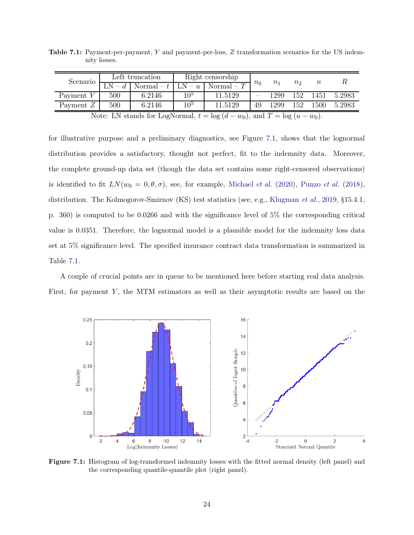|           |                                                                                                                                              | Left truncation |                             | Right censorship | $n_0$ |         |       | $\, n$   |        |  |  |  |
|-----------|----------------------------------------------------------------------------------------------------------------------------------------------|-----------------|-----------------------------|------------------|-------|---------|-------|----------|--------|--|--|--|
|           | Scenario<br>d.<br>500<br>500                                                                                                                 | Normal $-t$     | Normal $-7$<br>LN.<br>$- u$ |                  |       | $n_{1}$ | $n_2$ |          |        |  |  |  |
| Payment Y |                                                                                                                                              | 6.2146          | 10 <sup>5</sup>             | 11.5129          |       | 1299    | 152   | 1451     | 5.2983 |  |  |  |
| Payment Z | 6.2146                                                                                                                                       |                 | 10 <sup>5</sup>             | 11.5129          |       | 1299    | 152   | $1500\,$ | 5.2983 |  |  |  |
|           | $N_{\text{obs}}$ IN stands for LogNamuel $t = \log(d)$<br>$\sim$ $\frac{1}{T}$ $\sim$ $\frac{1}{2}$<br>$\sim$ $\sim$ $\sim$<br>$\sim$ $\sim$ |                 |                             |                  |       |         |       |          |        |  |  |  |

<span id="page-23-1"></span>Table 7.1: Payment-per-payment, Y and payment-per-loss, Z transformation scenarios for the US indemnity losses.

Note: LN stands for LogNormal,  $t = \log (d - w_0)$ , and  $T = \log (u - w_0)$ .

for illustrative purpose and a preliminary diagnostics, see Figure [7.1,](#page-23-0) shows that the lognormal distribution provides a satisfactory, thought not perfect, fit to the indemnity data. Moreover, the complete ground-up data set (though the data set contains some right-censored observations) is identified to fit  $LN(w_0 = 0, \theta, \sigma)$ , see, for example, [Michael](#page-30-11) *et al.* [\(2020](#page-30-11)), [Punzo](#page-30-6) *et al.* [\(2018\)](#page-30-6), distribution. The Kolmogorov-Smirnov (KS) test statistics (see, e.g., [Klugman](#page-30-0) *et al.*, [2019](#page-30-0), §15.4.1, p. 360) is computed to be 0.0266 and with the significance level of 5% the corresponding critical value is 0.0351. Therefore, the lognormal model is a plausible model for the indemnity loss data set at 5% significance level. The specified insurance contract data transformation is summarized in Table [7.1.](#page-23-1)

A couple of crucial points are in queue to be mentioned here before starting real data analysis. First, for payment  $Y$ , the MTM estimators as well as their asymptotic results are based on the

<span id="page-23-0"></span>

Figure 7.1: Histogram of log-transformed indemnity losses with the fitted normal density (left panel) and the corresponding quantile-quantile plot (right panel).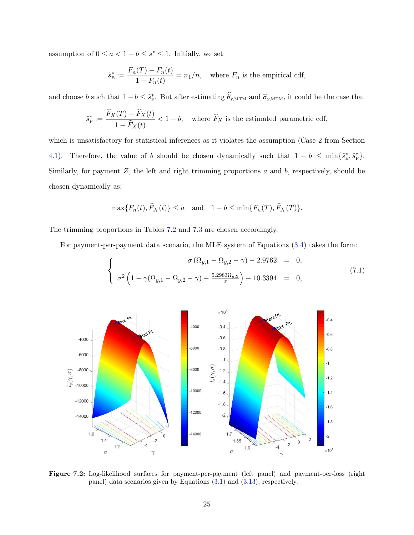assumption of  $0 \le a < 1 - b \le s^* \le 1$ . Initially, we set

$$
\hat{s}_{\rm E}^* := \frac{F_n(T) - F_n(t)}{1 - F_n(t)} = n_1/n, \quad \text{where } F_n \text{ is the empirical cdf,}
$$

and choose b such that  $1-b \leq \hat{s}_{E}^*$ . But after estimating  $\hat{\theta}_{y,MTM}$  and  $\hat{\sigma}_{y,MTM}$ , it could be the case that

$$
\hat{s}_{\rm P}^* := \frac{\widehat{F}_X(T) - \widehat{F}_X(t)}{1 - \widehat{F}_X(t)} < 1 - b, \quad \text{where } \widehat{F}_X \text{ is the estimated parametric cdf,}
$$

which is unsatisfactory for statistical inferences as it violates the assumption (Case 2 from Section [4.1\)](#page-11-3). Therefore, the value of b should be chosen dynamically such that  $1 - b \le \min\{\hat{s}_{\rm E}^*, \hat{s}_{\rm P}^*\}.$ Similarly, for payment  $Z$ , the left and right trimming proportions  $a$  and  $b$ , respectively, should be chosen dynamically as:

<span id="page-24-1"></span>
$$
\max\{F_n(t), \widehat{F}_X(t)\} \le a \quad \text{and} \quad 1 - b \le \min\{F_n(T), \widehat{F}_X(T)\}.
$$

The trimming proportions in Tables [7.2](#page-26-0) and [7.3](#page-27-1) are chosen accordingly.

For payment-per-payment data scenario, the MLE system of Equations [\(3.4\)](#page-6-2) takes the form:

$$
\begin{cases}\n\sigma (\Omega_{y,1} - \Omega_{y,2} - \gamma) - 2.9762 = 0, \\
\sigma^2 \left(1 - \gamma (\Omega_{y,1} - \Omega_{y,2} - \gamma) - \frac{5.2983 \Omega_{y,2}}{\sigma}\right) - 10.3394 = 0,\n\end{cases}
$$
\n(7.1)

<span id="page-24-0"></span>

Figure 7.2: Log-likelihood surfaces for payment-per-payment (left panel) and payment-per-loss (right panel) data scenarios given by Equations [\(3.1\)](#page-6-3) and [\(3.13\)](#page-8-3), respectively.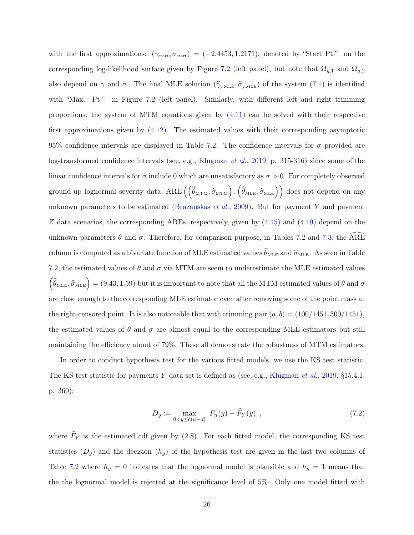with the first approximations:  $(\gamma_{\text{start}}, \sigma_{\text{start}}) = (-2.4453, 1.2171)$ , denoted by "Start Pt." on the corresponding log-likelihood surface given by Figure [7.2](#page-24-0) (left panel), but note that  $\Omega_{y,1}$  and  $\Omega_{y,2}$ also depend on  $\gamma$  and  $\sigma$ . The final MLE solution  $(\hat{\gamma}_{y,\text{MLE}}, \hat{\sigma}_{y,\text{MLE}})$  of the system [\(7.1\)](#page-24-1) is identified with "Max. Pt." in Figure [7.2](#page-24-0) (left panel). Similarly, with different left and right trimming proportions, the system of MTM equations given by [\(4.11\)](#page-13-0) can be solved with their respective first approximations given by [\(4.12\)](#page-13-3). The estimated values with their corresponding asymptotic 95% confidence intervals are displayed in Table [7.2.](#page-26-0) The confidence intervals for  $\sigma$  provided are log-transformed confidence intervals (see, e.g., [Klugman](#page-30-0) *et al.*, [2019](#page-30-0), p. 315-316) since some of the linear confidence intervals for  $\sigma$  include 0 which are unsatisfactory as  $\sigma > 0$ . For completely observed ground-up lognormal severity data,  $\text{ARE}\left(\left(\widehat{\theta}_{\text{\tiny MTM}}, \widehat{\sigma}_{\text{\tiny MTM}}\right), \left(\widehat{\theta}_{\text{\tiny MLE}}, \widehat{\sigma}_{\text{\tiny MLE}}\right)\right)$  does not depend on any unknown parameters to be estimated [\(Brazauskas](#page-29-11) *et al.*, [2009\)](#page-29-11). But for payment Y and payment Z data scenarios, the corresponding AREs, respectively, given by [\(4.15\)](#page-14-1) and [\(4.19\)](#page-16-0) depend on the unknown parameters  $\theta$  and  $\sigma$ . Therefore, for comparison purpose, in Tables [7.2](#page-26-0) and [7.3,](#page-27-1) the ARE column is computed as a bivariate function of MLE estimated values  $\widehat{\theta}_{MLE}$  and  $\widehat{\sigma}_{MLE}$ . As seen in Table [7.2,](#page-26-0) the estimated values of  $\theta$  and  $\sigma$  via MTM are seem to underestimate the MLE estimated values  $\left(\widehat{\theta}_{MLE}, \widehat{\sigma}_{MLE}\right) = (9.43, 1.59)$  but it is important to note that all the MTM estimated values of  $\theta$  and  $\sigma$ are close enough to the corresponding MLE estimator even after removing some of the point mass at the right-censored point. It is also noticeable that with trimming pair  $(a, b) = (100/1451, 300/1451)$ , the estimated values of  $\theta$  and  $\sigma$  are almost equal to the corresponding MLE estimators but still maintaining the efficiency about of 79%. These all demonstrate the robustness of MTM estimators.

In order to conduct hypothesis test for the various fitted models, we use the KS test statistic. The KS test statistic for payments Y data set is defined as (see, e.g., [Klugman](#page-30-0) *et al.*, [2019](#page-30-0), §15.4.1, p. 360):

$$
D_y := \max_{0 < y \le c(u-d)} \left| F_n(y) - \widehat{F}_Y(y) \right|,\tag{7.2}
$$

where  $\widehat{F}_Y$  is the estimated cdf given by [\(2.8\)](#page-5-4). For each fitted model, the corresponding KS test statistics  $(D_y)$  and the decision  $(h_y)$  of the hypothesis test are given in the last two columns of Table [7.2](#page-26-0) where  $h_y = 0$  indicates that the lognormal model is plausible and  $h_y = 1$  means that the the lognormal model is rejected at the significance level of 5%. Only one model fitted with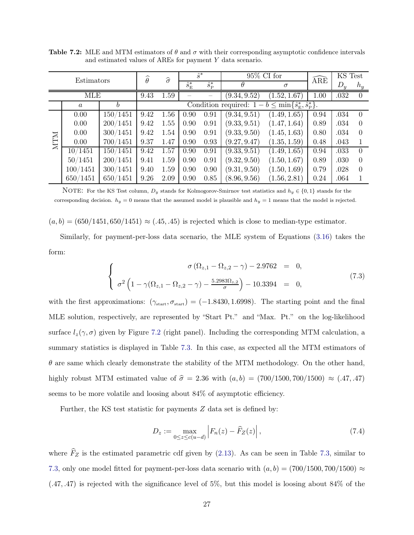|            | Estimators |          | $\widehat{\theta}$ | $\widehat{\sigma}$                                                                |                     | $\hat{s}^*$         |              | $95\%$ CI for | ÁRÈ  | KS Test |          |  |  |  |
|------------|------------|----------|--------------------|-----------------------------------------------------------------------------------|---------------------|---------------------|--------------|---------------|------|---------|----------|--|--|--|
|            |            |          |                    |                                                                                   | $\hat{s}_{\rm E}^*$ | $\hat{s}_{\rm P}^*$ | H            | $\sigma$      |      | $D_y$   | $h_y$    |  |  |  |
| <b>MLE</b> |            |          | 9.43               | 1.59                                                                              |                     |                     | (9.34, 9.52) | (1.52, 1.67)  | 1.00 | .032    | $\Omega$ |  |  |  |
|            | $\alpha$   | b        |                    | Condition required: $1-b$<br>$\leq \min\{\hat{s}_{\rm E}^*, \hat{s}_{\rm P}^*\}.$ |                     |                     |              |               |      |         |          |  |  |  |
|            | 0.00       | 150/1451 | 9.42               | 1.56                                                                              | 0.90                | 0.91                | (9.34, 9.51) | (1.49, 1.65)  | 0.94 | .034    | $\Omega$ |  |  |  |
|            | 0.00       | 200/1451 | 9.42               | 1.55                                                                              | 0.90                | 0.91                | (9.33, 9.51) | (1.47, 1.64)  | 0.89 | .034    |          |  |  |  |
|            | 0.00       | 300/1451 | 9.42               | 1.54                                                                              | 0.90                | 0.91                | (9.33, 9.50) | (1.45, 1.63)  | 0.80 | .034    |          |  |  |  |
| <b>NTM</b> | 0.00       | 700/1451 | 9.37               | 1.47                                                                              | 0.90                | 0.93                | (9.27, 9.47) | (1.35, 1.59)  | 0.48 | .043    |          |  |  |  |
|            | 10/1451    | 150/1451 | 9.42               | 1.57                                                                              | 0.90                | 0.91                | (9.33, 9.51) | (1.49, 1.65)  | 0.94 | .033    | $\Omega$ |  |  |  |
|            | 50/1451    | 200/1451 | 9.41               | 1.59                                                                              | 0.90                | 0.91                | (9.32, 9.50) | (1.50, 1.67)  | 0.89 | .030    |          |  |  |  |
|            | 100/1451   | 300/1451 | 9.40               | 1.59                                                                              | 0.90                | 0.90                | (9.31, 9.50) | (1.50, 1.69)  | 0.79 | .028    | $\Omega$ |  |  |  |
|            | 650/1451   | 650/1451 | 9.26               | 2.09                                                                              | 0.90                | 0.85                | (8.96, 9.56) | (1.56, 2.81)  | 0.24 | .064    |          |  |  |  |

<span id="page-26-0"></span>Table 7.2: MLE and MTM estimators of  $\theta$  and  $\sigma$  with their corresponding asymptotic confidence intervals and estimated values of AREs for payment Y data scenario.

NOTE: For the KS Test column,  $D_y$  stands for Kolmogorov-Smirnov test statistics and  $h_y \in \{0,1\}$  stands for the corresponding decision.  $h_y = 0$  means that the assumed model is plausible and  $h_y = 1$  means that the model is rejected.

 $(a, b) = (650/1451, 650/1451) \approx (0.45, 0.45)$  is rejected which is close to median-type estimator.

Similarly, for payment-per-loss data scenario, the MLE system of Equations [\(3.16\)](#page-8-1) takes the form:

$$
\begin{cases}\n\sigma (\Omega_{z,1} - \Omega_{z,2} - \gamma) - 2.9762 &= 0, \\
\sigma^2 \left(1 - \gamma (\Omega_{z,1} - \Omega_{z,2} - \gamma) - \frac{5.2983 \Omega_{z,2}}{\sigma}\right) - 10.3394 &= 0,\n\end{cases}
$$
\n(7.3)

with the first approximations:  $(\gamma_{\text{start}}, \sigma_{\text{start}}) = (-1.8430, 1.6998)$ . The starting point and the final MLE solution, respectively, are represented by "Start Pt." and "Max. Pt." on the log-likelihood surface  $l_z(\gamma, \sigma)$  given by Figure [7.2](#page-24-0) (right panel). Including the corresponding MTM calculation, a summary statistics is displayed in Table [7.3.](#page-27-1) In this case, as expected all the MTM estimators of  $\theta$  are same which clearly demonstrate the stability of the MTM methodology. On the other hand, highly robust MTM estimated value of  $\hat{\sigma} = 2.36$  with  $(a, b) = (700/1500, 700/1500) \approx (.47, .47)$ seems to be more volatile and loosing about 84% of asymptotic efficiency.

Further, the KS test statistic for payments Z data set is defined by:

$$
D_z := \max_{0 \le z \le c(u-d)} \left| F_n(z) - \widehat{F}_Z(z) \right|,\tag{7.4}
$$

where  $\widehat{F}_Z$  is the estimated parametric cdf given by [\(2.13\)](#page-5-5). As can be seen in Table [7.3,](#page-27-1) similar to [7.3,](#page-27-1) only one model fitted for payment-per-loss data scenario with  $(a, b) = (700/1500, 700/1500) \approx$ (.47, .47) is rejected with the significance level of 5%, but this model is loosing about 84% of the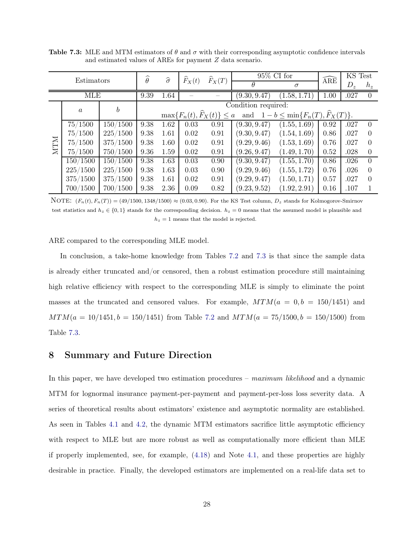|             |                  | $\widehat{\theta}$<br>Estimators |      | $\widehat{\sigma}$  | $\widehat{F}_X(t)$ | $\widehat{F}_X(T)$ |                                                                      | $95\%$ CI for<br>ARE |      |       |          |  |  |  |
|-------------|------------------|----------------------------------|------|---------------------|--------------------|--------------------|----------------------------------------------------------------------|----------------------|------|-------|----------|--|--|--|
|             |                  |                                  |      |                     |                    |                    | $\theta$                                                             | $\sigma$             |      | $D_z$ | $h_z$    |  |  |  |
|             | <b>MLE</b>       |                                  | 9.39 | 1.64                |                    |                    | (9.30, 9.47)                                                         | (1.58, 1.71)         | 1.00 | .027  | $\Omega$ |  |  |  |
|             |                  | $\boldsymbol{b}$                 |      | Condition required: |                    |                    |                                                                      |                      |      |       |          |  |  |  |
|             | $\boldsymbol{a}$ |                                  |      |                     |                    |                    | $\max\{F_n(t), F_X(t)\} \le a$ and $1-b \le \min\{F_n(T), F_X(T)\}.$ |                      |      |       |          |  |  |  |
|             | 75/1500          | 150/1500                         | 9.38 | 1.62                | 0.03               | 0.91               | (9.30, 9.47)                                                         | (1.55, 1.69)         | 0.92 | .027  | $\Omega$ |  |  |  |
|             | 75/1500          | 225/1500                         | 9.38 | 1.61                | 0.02               | 0.91               | (9.30, 9.47)                                                         | (1.54, 1.69)         | 0.86 | .027  | $\Omega$ |  |  |  |
| <b>NLLN</b> | 75/1500          | 375/1500                         | 9.38 | 1.60                | 0.02               | 0.91               | (9.29, 9.46)                                                         | (1.53, 1.69)         | 0.76 | .027  | $\Omega$ |  |  |  |
|             | 75/1500          | 750/1500                         | 9.36 | 1.59                | 0.02               | 0.91               | (9.26, 9.47)                                                         | (1.49, 1.70)         | 0.52 | .028  | $\Omega$ |  |  |  |
|             | 150/1500         | 150/1500                         | 9.38 | 1.63                | 0.03               | 0.90               | (9.30, 9.47)                                                         | (1.55, 1.70)         | 0.86 | .026  | $\Omega$ |  |  |  |
|             | 225/1500         | 225/1500                         | 9.38 | 1.63                | 0.03               | 0.90               | (9.29, 9.46)                                                         | (1.55, 1.72)         | 0.76 | .026  | $\Omega$ |  |  |  |
|             | 375/1500         | 375/1500                         | 9.38 | 1.61                | 0.02               | 0.91               | (9.29, 9.47)                                                         | (1.50, 1.71)         | 0.57 | .027  | $\Omega$ |  |  |  |
|             | 700/1500         | 700/1500                         | 9.38 | 2.36                | 0.09               | 0.82               | (9.23, 9.52)                                                         | (1.92, 2.91)         | 0.16 | .107  |          |  |  |  |

<span id="page-27-1"></span>Table 7.3: MLE and MTM estimators of  $\theta$  and  $\sigma$  with their corresponding asymptotic confidence intervals and estimated values of AREs for payment Z data scenario.

NOTE:  $(F_n(t), F_n(T)) = (49/1500, 1348/1500) \approx (0.03, 0.90)$ . For the KS Test column,  $D_z$  stands for Kolmogorov-Smirnov test statistics and  $h_z \in \{0,1\}$  stands for the corresponding decision.  $h_z = 0$  means that the assumed model is plausible and  $h_z = 1$  means that the model is rejected.

ARE compared to the corresponding MLE model.

In conclusion, a take-home knowledge from Tables [7.2](#page-26-0) and [7.3](#page-27-1) is that since the sample data is already either truncated and/or censored, then a robust estimation procedure still maintaining high relative efficiency with respect to the corresponding MLE is simply to eliminate the point masses at the truncated and censored values. For example,  $MTM(a = 0, b = 150/1451)$  and  $MTM(a = 10/1451, b = 150/1451)$  from Table [7.2](#page-26-0) and  $MTM(a = 75/1500, b = 150/1500)$  from Table [7.3.](#page-27-1)

#### <span id="page-27-0"></span>8 Summary and Future Direction

In this paper, we have developed two estimation procedures – *maximum likelihood* and a dynamic MTM for lognormal insurance payment-per-payment and payment-per-loss loss severity data. A series of theoretical results about estimators' existence and asymptotic normality are established. As seen in Tables [4.1](#page-14-2) and [4.2,](#page-17-1) the dynamic MTM estimators sacrifice little asymptotic efficiency with respect to MLE but are more robust as well as computationally more efficient than MLE if properly implemented, see, for example, [\(4.18\)](#page-16-1) and Note [4.1,](#page-14-3) and these properties are highly desirable in practice. Finally, the developed estimators are implemented on a real-life data set to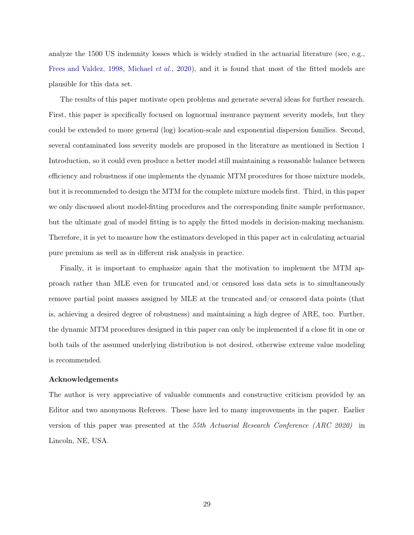analyze the 1500 US indemnity losses which is widely studied in the actuarial literature (see, e.g., [Frees and Valdez](#page-29-16), [1998,](#page-29-16) [Michael](#page-30-11) *et al.*, [2020](#page-30-11)), and it is found that most of the fitted models are plausible for this data set.

The results of this paper motivate open problems and generate several ideas for further research. First, this paper is specifically focused on lognormal insurance payment severity models, but they could be extended to more general (log) location-scale and exponential dispersion families. Second, several contaminated loss severity models are proposed in the literature as mentioned in Section [1](#page-1-0) Introduction, so it could even produce a better model still maintaining a reasonable balance between efficiency and robustness if one implements the dynamic MTM procedures for those mixture models, but it is recommended to design the MTM for the complete mixture models first. Third, in this paper we only discussed about model-fitting procedures and the corresponding finite sample performance, but the ultimate goal of model fitting is to apply the fitted models in decision-making mechanism. Therefore, it is yet to measure how the estimators developed in this paper act in calculating actuarial pure premium as well as in different risk analysis in practice.

Finally, it is important to emphasize again that the motivation to implement the MTM approach rather than MLE even for truncated and/or censored loss data sets is to simultaneously remove partial point masses assigned by MLE at the truncated and/or censored data points (that is, achieving a desired degree of robustness) and maintaining a high degree of ARE, too. Further, the dynamic MTM procedures designed in this paper can only be implemented if a close fit in one or both tails of the assumed underlying distribution is not desired, otherwise extreme value modeling is recommended.

#### Acknowledgements

The author is very appreciative of valuable comments and constructive criticism provided by an Editor and two anonymous Referees. These have led to many improvements in the paper. Earlier version of this paper was presented at the *55th Actuarial Research Conference (ARC 2020)* in Lincoln, NE, USA.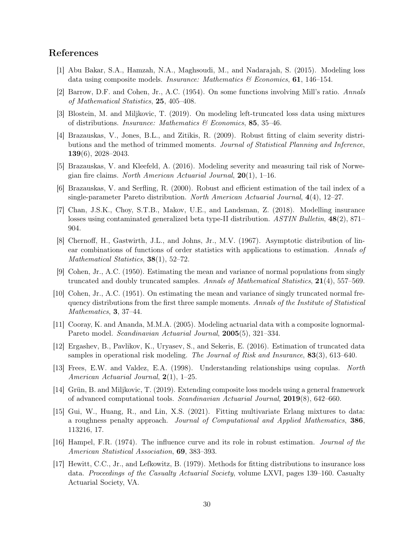### References

- <span id="page-29-2"></span>[1] Abu Bakar, S.A., Hamzah, N.A., Maghsoudi, M., and Nadarajah, S. (2015). Modeling loss data using composite models. *Insurance: Mathematics & Economics*, 61, 146–154.
- <span id="page-29-15"></span>[2] Barrow, D.F. and Cohen, Jr., A.C. (1954). On some functions involving Mill's ratio. *Annals of Mathematical Statistics*, 25, 405–408.
- <span id="page-29-9"></span>[3] Blostein, M. and Miljkovic, T. (2019). On modeling left-truncated loss data using mixtures of distributions. *Insurance: Mathematics & Economics*, 85, 35–46.
- <span id="page-29-11"></span>[4] Brazauskas, V., Jones, B.L., and Zitikis, R. (2009). Robust fitting of claim severity distributions and the method of trimmed moments. *Journal of Statistical Planning and Inference*, 139(6), 2028–2043.
- <span id="page-29-8"></span>[5] Brazauskas, V. and Kleefeld, A. (2016). Modeling severity and measuring tail risk of Norwegian fire claims. *North American Actuarial Journal*, 20(1), 1–16.
- <span id="page-29-14"></span>[6] Brazauskas, V. and Serfling, R. (2000). Robust and efficient estimation of the tail index of a single-parameter Pareto distribution. *North American Actuarial Journal*, 4(4), 12–27.
- <span id="page-29-3"></span>[7] Chan, J.S.K., Choy, S.T.B., Makov, U.E., and Landsman, Z. (2018). Modelling insurance losses using contaminated generalized beta type-II distribution. *ASTIN Bulletin*, 48(2), 871– 904.
- <span id="page-29-10"></span>[8] Chernoff, H., Gastwirth, J.L., and Johns, Jr., M.V. (1967). Asymptotic distribution of linear combinations of functions of order statistics with applications to estimation. *Annals of Mathematical Statistics*, 38(1), 52–72.
- <span id="page-29-12"></span>[9] Cohen, Jr., A.C. (1950). Estimating the mean and variance of normal populations from singly truncated and doubly truncated samples. *Annals of Mathematical Statistics*, 21(4), 557–569.
- <span id="page-29-13"></span>[10] Cohen, Jr., A.C. (1951). On estimating the mean and variance of singly truncated normal frequency distributions from the first three sample moments. *Annals of the Institute of Statistical Mathematics*, 3, 37–44.
- <span id="page-29-1"></span>[11] Cooray, K. and Ananda, M.M.A. (2005). Modeling actuarial data with a composite lognormal-Pareto model. *Scandinavian Actuarial Journal*, 2005(5), 321–334.
- <span id="page-29-0"></span>[12] Ergashev, B., Pavlikov, K., Uryasev, S., and Sekeris, E. (2016). Estimation of truncated data samples in operational risk modeling. *The Journal of Risk and Insurance*, 83(3), 613–640.
- <span id="page-29-16"></span>[13] Frees, E.W. and Valdez, E.A. (1998). Understanding relationships using copulas. *North American Actuarial Journal*, 2(1), 1–25.
- <span id="page-29-5"></span>[14] Grün, B. and Miljkovic, T. (2019). Extending composite loss models using a general framework of advanced computational tools. *Scandinavian Actuarial Journal*, 2019(8), 642–660.
- <span id="page-29-4"></span>[15] Gui, W., Huang, R., and Lin, X.S. (2021). Fitting multivariate Erlang mixtures to data: a roughness penalty approach. *Journal of Computational and Applied Mathematics*, 386, 113216, 17.
- <span id="page-29-6"></span>[16] Hampel, F.R. (1974). The influence curve and its role in robust estimation. *Journal of the American Statistical Association*, 69, 383–393.
- <span id="page-29-7"></span>[17] Hewitt, C.C., Jr., and Lefkowitz, B. (1979). Methods for fitting distributions to insurance loss data. *Proceedings of the Casualty Actuarial Society*, volume LXVI, pages 139–160. Casualty Actuarial Society, VA.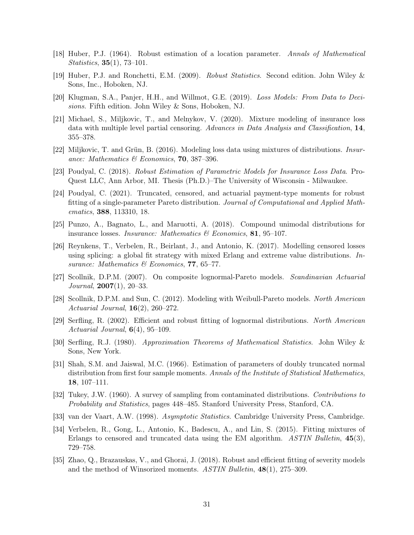- <span id="page-30-7"></span>[18] Huber, P.J. (1964). Robust estimation of a location parameter. *Annals of Mathematical Statistics*, 35(1), 73–101.
- <span id="page-30-8"></span>[19] Huber, P.J. and Ronchetti, E.M. (2009). *Robust Statistics*. Second edition. John Wiley & Sons, Inc., Hoboken, NJ.
- <span id="page-30-0"></span>[20] Klugman, S.A., Panjer, H.H., and Willmot, G.E. (2019). *Loss Models: From Data to Decisions*. Fifth edition. John Wiley & Sons, Hoboken, NJ.
- <span id="page-30-11"></span>[21] Michael, S., Miljkovic, T., and Melnykov, V. (2020). Mixture modeling of insurance loss data with multiple level partial censoring. *Advances in Data Analysis and Classification*, 14, 355–378.
- <span id="page-30-10"></span>[22] Miljkovic, T. and Grün, B. (2016). Modeling loss data using mixtures of distributions. *Insurance: Mathematics & Economics*, 70, 387–396.
- <span id="page-30-14"></span>[23] Poudyal, C. (2018). *Robust Estimation of Parametric Models for Insurance Loss Data*. Pro-Quest LLC, Ann Arbor, MI. Thesis (Ph.D.)–The University of Wisconsin - Milwaukee.
- <span id="page-30-15"></span>[24] Poudyal, C. (2021). Truncated, censored, and actuarial payment-type moments for robust fitting of a single-parameter Pareto distribution. *Journal of Computational and Applied Mathematics*, 388, 113310, 18.
- <span id="page-30-6"></span>[25] Punzo, A., Bagnato, L., and Maruotti, A. (2018). Compound unimodal distributions for insurance losses. *Insurance: Mathematics & Economics*, 81, 95–107.
- <span id="page-30-4"></span>[26] Reynkens, T., Verbelen, R., Beirlant, J., and Antonio, K. (2017). Modelling censored losses using splicing: a global fit strategy with mixed Erlang and extreme value distributions. *Insurance: Mathematics & Economics*, 77, 65–77.
- <span id="page-30-2"></span>[27] Scollnik, D.P.M. (2007). On composite lognormal-Pareto models. *Scandinavian Actuarial Journal*, 2007(1), 20–33.
- <span id="page-30-3"></span>[28] Scollnik, D.P.M. and Sun, C. (2012). Modeling with Weibull-Pareto models. *North American Actuarial Journal*, 16(2), 260–272.
- <span id="page-30-9"></span>[29] Serfling, R. (2002). Efficient and robust fitting of lognormal distributions. *North American Actuarial Journal*, 6(4), 95–109.
- <span id="page-30-16"></span>[30] Serfling, R.J. (1980). *Approximation Theorems of Mathematical Statistics*. John Wiley & Sons, New York.
- <span id="page-30-13"></span>[31] Shah, S.M. and Jaiswal, M.C. (1966). Estimation of parameters of doubly truncated normal distribution from first four sample moments. *Annals of the Institute of Statistical Mathematics*, 18, 107–111.
- <span id="page-30-1"></span>[32] Tukey, J.W. (1960). A survey of sampling from contaminated distributions. *Contributions to Probability and Statistics*, pages 448–485. Stanford University Press, Stanford, CA.
- <span id="page-30-17"></span>[33] van der Vaart, A.W. (1998). *Asymptotic Statistics*. Cambridge University Press, Cambridge.
- <span id="page-30-5"></span>[34] Verbelen, R., Gong, L., Antonio, K., Badescu, A., and Lin, S. (2015). Fitting mixtures of Erlangs to censored and truncated data using the EM algorithm. *ASTIN Bulletin*, 45(3), 729–758.
- <span id="page-30-12"></span>[35] Zhao, Q., Brazauskas, V., and Ghorai, J. (2018). Robust and efficient fitting of severity models and the method of Winsorized moments. *ASTIN Bulletin*, 48(1), 275–309.